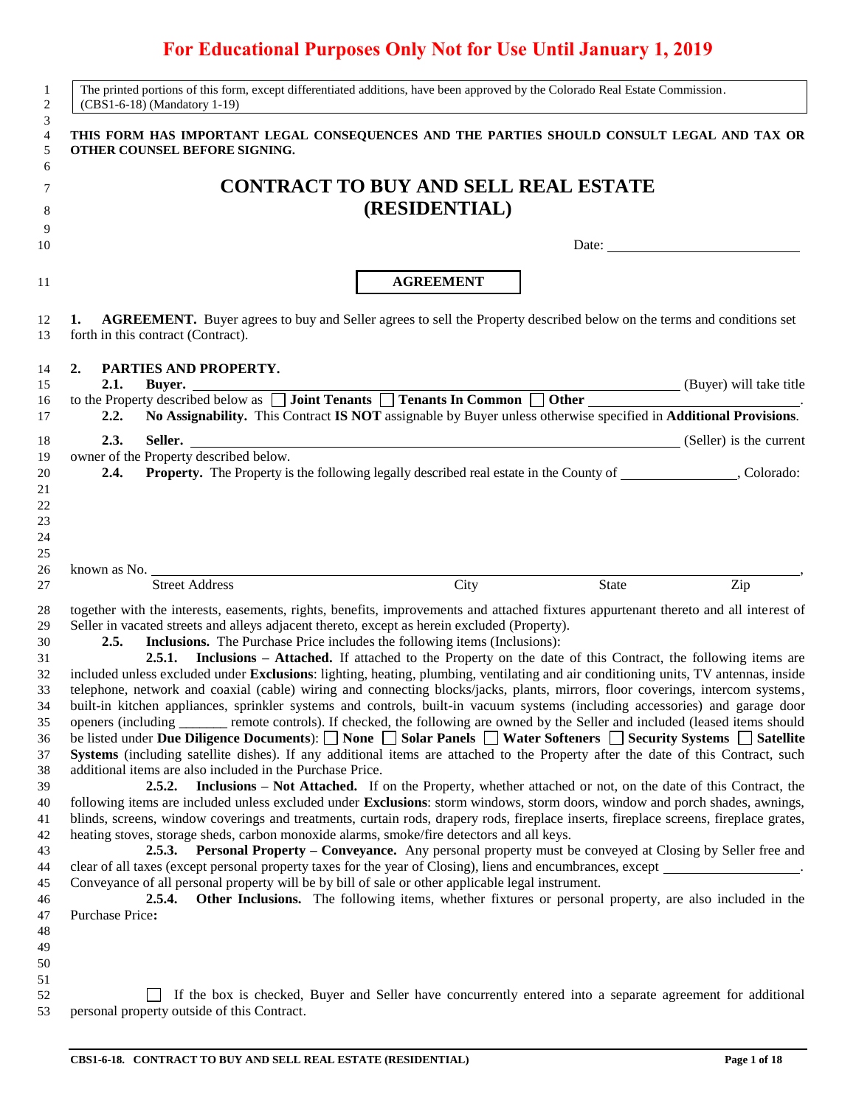| (CBS1-6-18) (Mandatory 1-19)             | The printed portions of this form, except differentiated additions, have been approved by the Colorado Real Estate Commission.                                                                                                             |                                                                                                                       |       |                         |
|------------------------------------------|--------------------------------------------------------------------------------------------------------------------------------------------------------------------------------------------------------------------------------------------|-----------------------------------------------------------------------------------------------------------------------|-------|-------------------------|
| OTHER COUNSEL BEFORE SIGNING.            | THIS FORM HAS IMPORTANT LEGAL CONSEQUENCES AND THE PARTIES SHOULD CONSULT LEGAL AND TAX OR                                                                                                                                                 |                                                                                                                       |       |                         |
|                                          |                                                                                                                                                                                                                                            |                                                                                                                       |       |                         |
|                                          | <b>CONTRACT TO BUY AND SELL REAL ESTATE</b>                                                                                                                                                                                                |                                                                                                                       |       |                         |
|                                          |                                                                                                                                                                                                                                            | (RESIDENTIAL)                                                                                                         |       |                         |
|                                          |                                                                                                                                                                                                                                            |                                                                                                                       |       |                         |
|                                          |                                                                                                                                                                                                                                            | <b>AGREEMENT</b>                                                                                                      |       |                         |
| 1.<br>forth in this contract (Contract). | <b>AGREEMENT.</b> Buyer agrees to buy and Seller agrees to sell the Property described below on the terms and conditions set                                                                                                               |                                                                                                                       |       |                         |
| 2.<br>PARTIES AND PROPERTY.              |                                                                                                                                                                                                                                            |                                                                                                                       |       |                         |
| 2.1.<br>Buyer.                           | to the Property described below as $\Box$ Joint Tenants $\Box$ Tenants In Common $\Box$ Other                                                                                                                                              |                                                                                                                       |       | (Buyer) will take title |
| 2.2.                                     | No Assignability. This Contract IS NOT assignable by Buyer unless otherwise specified in Additional Provisions.                                                                                                                            |                                                                                                                       |       |                         |
| 2.3.<br>Seller.                          |                                                                                                                                                                                                                                            |                                                                                                                       |       |                         |
| owner of the Property described below.   |                                                                                                                                                                                                                                            | <u> 1989 - Johann Barn, mars ann an t-Amhain Aonaichte ann an t-Aonaichte ann an t-Aonaichte ann an t-Aonaichte a</u> |       | (Seller) is the current |
| 2.4.                                     |                                                                                                                                                                                                                                            |                                                                                                                       |       |                         |
|                                          |                                                                                                                                                                                                                                            |                                                                                                                       |       |                         |
|                                          |                                                                                                                                                                                                                                            |                                                                                                                       |       |                         |
|                                          |                                                                                                                                                                                                                                            |                                                                                                                       |       |                         |
|                                          |                                                                                                                                                                                                                                            |                                                                                                                       |       |                         |
|                                          |                                                                                                                                                                                                                                            |                                                                                                                       |       |                         |
|                                          |                                                                                                                                                                                                                                            |                                                                                                                       |       |                         |
| known as No.<br><b>Street Address</b>    |                                                                                                                                                                                                                                            | City                                                                                                                  | State | Zip                     |
|                                          |                                                                                                                                                                                                                                            |                                                                                                                       |       |                         |
|                                          | together with the interests, easements, rights, benefits, improvements and attached fixtures appurtenant thereto and all interest of                                                                                                       |                                                                                                                       |       |                         |
| 2.5.                                     | Seller in vacated streets and alleys adjacent thereto, except as herein excluded (Property).<br><b>Inclusions.</b> The Purchase Price includes the following items (Inclusions):                                                           |                                                                                                                       |       |                         |
| 2.5.1.                                   | Inclusions – Attached. If attached to the Property on the date of this Contract, the following items are                                                                                                                                   |                                                                                                                       |       |                         |
|                                          | included unless excluded under Exclusions: lighting, heating, plumbing, ventilating and air conditioning units, TV antennas, inside                                                                                                        |                                                                                                                       |       |                         |
|                                          | telephone, network and coaxial (cable) wiring and connecting blocks/jacks, plants, mirrors, floor coverings, intercom systems,                                                                                                             |                                                                                                                       |       |                         |
|                                          | built-in kitchen appliances, sprinkler systems and controls, built-in vacuum systems (including accessories) and garage door                                                                                                               |                                                                                                                       |       |                         |
|                                          | openers (including _______ remote controls). If checked, the following are owned by the Seller and included (leased items should                                                                                                           |                                                                                                                       |       |                         |
|                                          | be listed under Due Diligence Documents): None Solar Panels Water Softeners Security Systems Satellite<br>Systems (including satellite dishes). If any additional items are attached to the Property after the date of this Contract, such |                                                                                                                       |       |                         |
|                                          | additional items are also included in the Purchase Price.                                                                                                                                                                                  |                                                                                                                       |       |                         |
| 2.5.2.                                   | Inclusions - Not Attached. If on the Property, whether attached or not, on the date of this Contract, the                                                                                                                                  |                                                                                                                       |       |                         |
|                                          | following items are included unless excluded under Exclusions: storm windows, storm doors, window and porch shades, awnings,                                                                                                               |                                                                                                                       |       |                         |
|                                          | blinds, screens, window coverings and treatments, curtain rods, drapery rods, fireplace inserts, fireplace screens, fireplace grates,                                                                                                      |                                                                                                                       |       |                         |
|                                          | heating stoves, storage sheds, carbon monoxide alarms, smoke/fire detectors and all keys.                                                                                                                                                  |                                                                                                                       |       |                         |
|                                          | 2.5.3. Personal Property – Conveyance. Any personal property must be conveyed at Closing by Seller free and<br>clear of all taxes (except personal property taxes for the year of Closing), liens and encumbrances, except                 |                                                                                                                       |       |                         |
|                                          | Conveyance of all personal property will be by bill of sale or other applicable legal instrument.                                                                                                                                          |                                                                                                                       |       |                         |
| 2.5.4.                                   | Other Inclusions. The following items, whether fixtures or personal property, are also included in the                                                                                                                                     |                                                                                                                       |       |                         |
| Purchase Price:                          |                                                                                                                                                                                                                                            |                                                                                                                       |       |                         |
|                                          |                                                                                                                                                                                                                                            |                                                                                                                       |       |                         |
|                                          |                                                                                                                                                                                                                                            |                                                                                                                       |       |                         |
|                                          |                                                                                                                                                                                                                                            |                                                                                                                       |       |                         |
|                                          | If the box is checked, Buyer and Seller have concurrently entered into a separate agreement for additional                                                                                                                                 |                                                                                                                       |       |                         |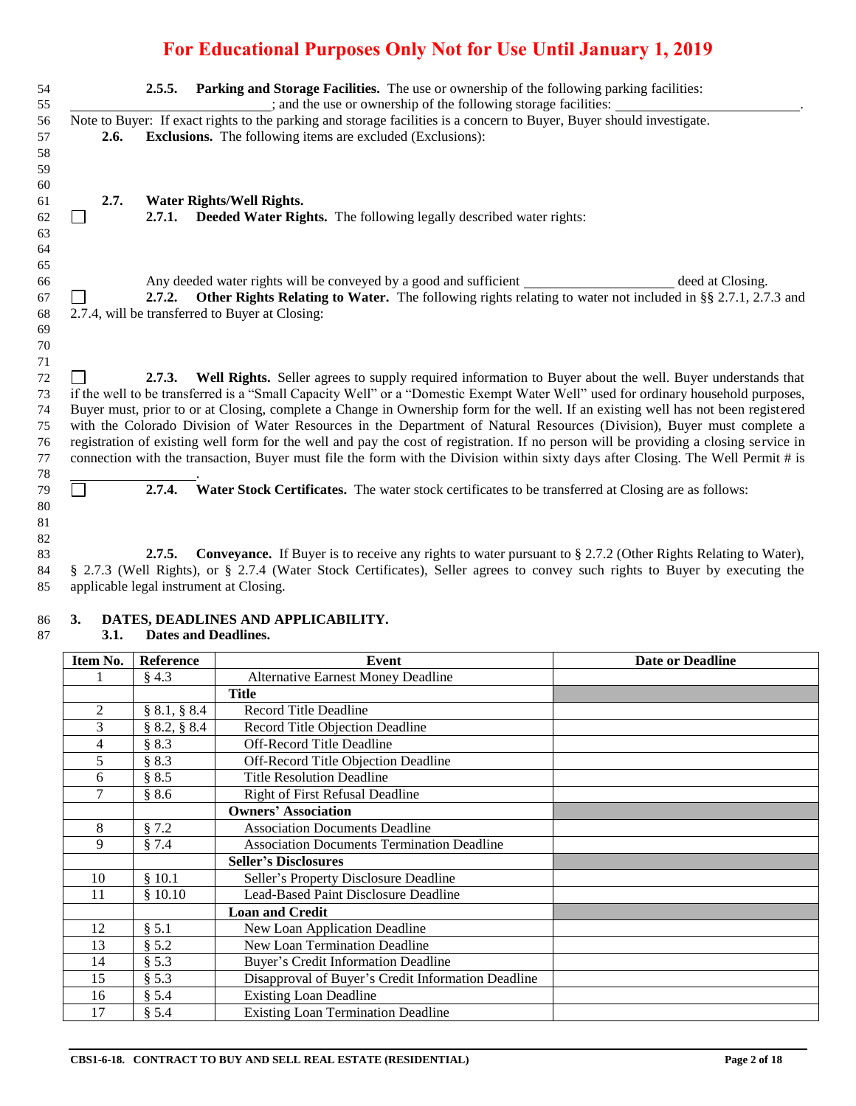**2.5.5. Parking and Storage Facilities.** The use or ownership of the following parking facilities: 55  $\sim$  ; and the use or ownership of the following storage facilities: Note to Buyer:If exact rights to the parking and storage facilities is a concern to Buyer, Buyer should investigate. **2.6. Exclusions.** The following items are excluded (Exclusions): **2.7. Water Rights/Well Rights. 2.7.1. Deeded Water Rights.** The following legally described water rights: 66 Any deeded water rights will be conveyed by a good and sufficient **convergentlering** deed at Closing. **2.7.2. Other Rights Relating to Water.** The following rights relating to water not included in §§ 2.7.1, 2.7.3 and 2.7.4, will be transferred to Buyer at Closing: **2.7.3. Well Rights.** Seller agrees to supply required information to Buyer about the well. Buyer understands that if the well to be transferred is a "Small Capacity Well" or a "Domestic Exempt Water Well" used for ordinary household purposes, Buyer must, prior to or at Closing, complete a Change in Ownership form for the well. If an existing well has not been registered with the Colorado Division of Water Resources in the Department of Natural Resources (Division), Buyer must complete a registration of existing well form for the well and pay the cost of registration. If no person will be providing a closing service in connection with the transaction, Buyer must file the form with the Division within sixty days after Closing. The Well Permit # is 78 <u>\_\_\_\_\_\_\_\_\_\_\_\_\_\_\_\_\_\_\_\_</u>\_\_ **2.7.4. Water Stock Certificates.** The water stock certificates to be transferred at Closing are as follows: **2.7.5. Conveyance.** If Buyer is to receive any rights to water pursuant to § 2.7.2 (Other Rights Relating to Water), § 2.7.3 (Well Rights), or § 2.7.4 (Water Stock Certificates), Seller agrees to convey such rights to Buyer by executing the

applicable legal instrument at Closing.

| Item No. | <b>Reference</b> | Event                                              | Date or Deadline |
|----------|------------------|----------------------------------------------------|------------------|
|          | § 4.3            | <b>Alternative Earnest Money Deadline</b>          |                  |
|          |                  | <b>Title</b>                                       |                  |
| 2        | § 8.1, § 8.4     | <b>Record Title Deadline</b>                       |                  |
| 3        | § 8.2, § 8.4     | Record Title Objection Deadline                    |                  |
| 4        | § 8.3            | <b>Off-Record Title Deadline</b>                   |                  |
| 5        | § 8.3            | Off-Record Title Objection Deadline                |                  |
| 6        | § 8.5            | <b>Title Resolution Deadline</b>                   |                  |
|          | § 8.6            | <b>Right of First Refusal Deadline</b>             |                  |
|          |                  | <b>Owners' Association</b>                         |                  |
| 8        | § 7.2            | <b>Association Documents Deadline</b>              |                  |
| 9        | § 7.4            | <b>Association Documents Termination Deadline</b>  |                  |
|          |                  | <b>Seller's Disclosures</b>                        |                  |
| 10       | \$10.1           | Seller's Property Disclosure Deadline              |                  |
| 11       | \$10.10          | Lead-Based Paint Disclosure Deadline               |                  |
|          |                  | <b>Loan and Credit</b>                             |                  |
| 12       | § 5.1            | New Loan Application Deadline                      |                  |
| 13       | § 5.2            | New Loan Termination Deadline                      |                  |
| 14       | § 5.3            | Buyer's Credit Information Deadline                |                  |
| 15       | § 5.3            | Disapproval of Buyer's Credit Information Deadline |                  |
| 16       | $§$ 5.4          | <b>Existing Loan Deadline</b>                      |                  |
| 17       | § 5.4            | <b>Existing Loan Termination Deadline</b>          |                  |
|          |                  |                                                    |                  |

### **3. DATES, DEADLINES AND APPLICABILITY.**

### **3.1. Dates and Deadlines.**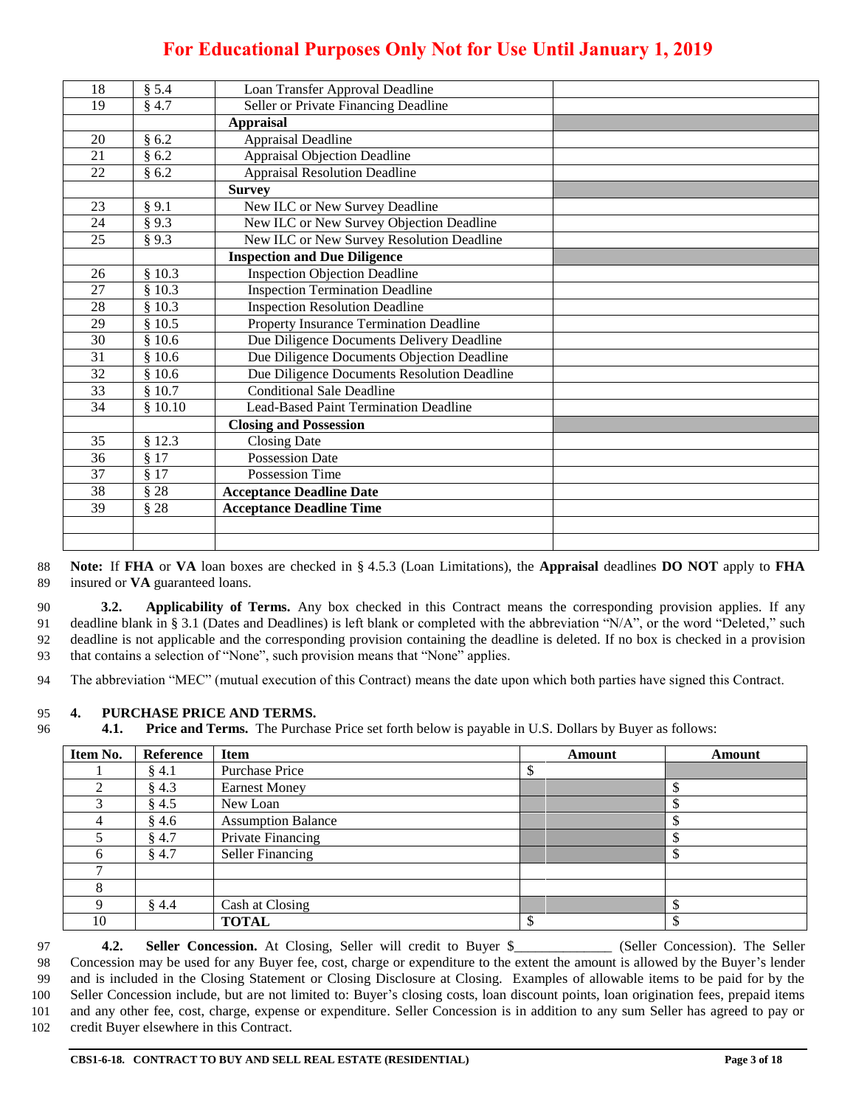| 18 | § 5.4   | Loan Transfer Approval Deadline             |  |
|----|---------|---------------------------------------------|--|
| 19 | $§$ 4.7 | Seller or Private Financing Deadline        |  |
|    |         | <b>Appraisal</b>                            |  |
| 20 | § 6.2   | Appraisal Deadline                          |  |
| 21 | §6.2    | <b>Appraisal Objection Deadline</b>         |  |
| 22 | § 6.2   | <b>Appraisal Resolution Deadline</b>        |  |
|    |         | <b>Survey</b>                               |  |
| 23 | § 9.1   | New ILC or New Survey Deadline              |  |
| 24 | § 9.3   | New ILC or New Survey Objection Deadline    |  |
| 25 | §9.3    | New ILC or New Survey Resolution Deadline   |  |
|    |         | <b>Inspection and Due Diligence</b>         |  |
| 26 | \$10.3  | <b>Inspection Objection Deadline</b>        |  |
| 27 | \$10.3  | <b>Inspection Termination Deadline</b>      |  |
| 28 | \$10.3  | <b>Inspection Resolution Deadline</b>       |  |
| 29 | \$10.5  | Property Insurance Termination Deadline     |  |
| 30 | \$10.6  | Due Diligence Documents Delivery Deadline   |  |
| 31 | \$10.6  | Due Diligence Documents Objection Deadline  |  |
| 32 | \$10.6  | Due Diligence Documents Resolution Deadline |  |
| 33 | \$10.7  | <b>Conditional Sale Deadline</b>            |  |
| 34 | \$10.10 | Lead-Based Paint Termination Deadline       |  |
|    |         | <b>Closing and Possession</b>               |  |
| 35 | \$12.3  | <b>Closing Date</b>                         |  |
| 36 | § 17    | <b>Possession Date</b>                      |  |
| 37 | § 17    | Possession Time                             |  |
| 38 | § 28    | <b>Acceptance Deadline Date</b>             |  |
| 39 | § 28    | <b>Acceptance Deadline Time</b>             |  |
|    |         |                                             |  |
|    |         |                                             |  |

 **Note:** If **FHA** or **VA** loan boxes are checked in § 4.5.3 (Loan Limitations), the **Appraisal** deadlines **DO NOT** apply to **FHA** insured or **VA** guaranteed loans.

 **3.2. Applicability of Terms.** Any box checked in this Contract means the corresponding provision applies. If any deadline blank in § 3.1 (Dates and Deadlines) is left blank or completed with the abbreviation "N/A", or the word "Deleted," such deadline is not applicable and the corresponding provision containing the deadline is deleted. If no box is checked in a provision that contains a selection of "None", such provision means that "None" applies.

The abbreviation "MEC" (mutual execution of this Contract) means the date upon which both parties have signed this Contract.

### **4. PURCHASE PRICE AND TERMS.**

**4.1. Price and Terms.** The Purchase Price set forth below is payable in U.S. Dollars by Buyer as follows:

| Item No.       | Reference | <b>Item</b>               | Amount | Amount |
|----------------|-----------|---------------------------|--------|--------|
|                | $§$ 4.1   | Purchase Price            |        |        |
| $\mathfrak{D}$ | $§$ 4.3   | <b>Earnest Money</b>      |        |        |
|                | $§$ 4.5   | New Loan                  |        |        |
|                | $§$ 4.6   | <b>Assumption Balance</b> |        |        |
|                | $§$ 4.7   | Private Financing         |        |        |
| 6              | § 4.7     | Seller Financing          |        |        |
|                |           |                           |        |        |
| 8              |           |                           |        |        |
| Q              | § 4.4     | Cash at Closing           |        |        |
| 10             |           | <b>TOTAL</b>              |        |        |

**4.2. Seller Concession.** At Closing, Seller will credit to Buyer \$ (Seller Concession). The Seller Concession may be used for any Buyer fee, cost, charge or expenditure to the extent the amount is allowed by the Buyer's lender and is included in the Closing Statement or Closing Disclosure at Closing. Examples of allowable items to be paid for by the Seller Concession include, but are not limited to: Buyer's closing costs, loan discount points, loan origination fees, prepaid items and any other fee, cost, charge, expense or expenditure. Seller Concession is in addition to any sum Seller has agreed to pay or credit Buyer elsewhere in this Contract.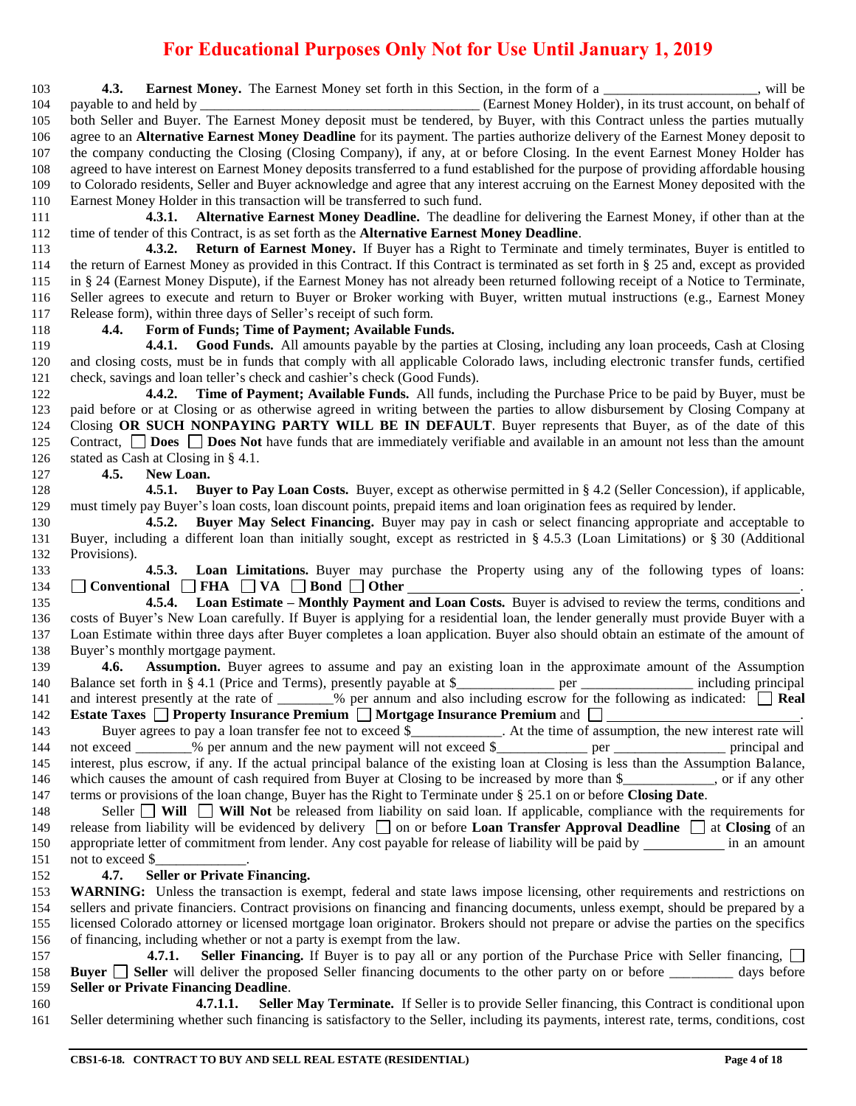**4.3. Earnest Money.** The Earnest Money set forth in this Section, in the form of a \_\_\_\_\_\_\_\_\_\_\_\_\_\_\_\_\_\_\_\_\_\_, will be 104 payable to and held by **Example 101** (Earnest Money Holder), in its trust account, on behalf of both Seller and Buyer. The Earnest Money deposit must be tendered, by Buyer, with this Contract unless the parties mutually agree to an **Alternative Earnest Money Deadline** for its payment. The parties authorize delivery of the Earnest Money deposit to the company conducting the Closing (Closing Company), if any, at or before Closing. In the event Earnest Money Holder has agreed to have interest on Earnest Money deposits transferred to a fund established for the purpose of providing affordable housing to Colorado residents, Seller and Buyer acknowledge and agree that any interest accruing on the Earnest Money deposited with the Earnest Money Holder in this transaction will be transferred to such fund. **4.3.1. Alternative Earnest Money Deadline.** The deadline for delivering the Earnest Money, if other than at the

 time of tender of this Contract, is as set forth as the **Alternative Earnest Money Deadline**. **4.3.2. Return of Earnest Money.** If Buyer has a Right to Terminate and timely terminates, Buyer is entitled to

 the return of Earnest Money as provided in this Contract. If this Contract is terminated as set forth in § 25 and, except as provided in § 24 (Earnest Money Dispute), if the Earnest Money has not already been returned following receipt of a Notice to Terminate, Seller agrees to execute and return to Buyer or Broker working with Buyer, written mutual instructions (e.g., Earnest Money Release form), within three days of Seller's receipt of such form.

**4.4. Form of Funds; Time of Payment; Available Funds.** 

 **4.4.1. Good Funds.** All amounts payable by the parties at Closing, including any loan proceeds, Cash at Closing and closing costs, must be in funds that comply with all applicable Colorado laws, including electronic transfer funds, certified check, savings and loan teller's check and cashier's check (Good Funds).

 **4.4.2. Time of Payment; Available Funds.** All funds, including the Purchase Price to be paid by Buyer, must be paid before or at Closing or as otherwise agreed in writing between the parties to allow disbursement by Closing Company at Closing **OR SUCH NONPAYING PARTY WILL BE IN DEFAULT**. Buyer represents that Buyer, as of the date of this Contract, **Does Does Not** have funds that are immediately verifiable and available in an amount not less than the amount stated as Cash at Closing in § 4.1.

**4.5. New Loan.**

 **4.5.1. Buyer to Pay Loan Costs.** Buyer, except as otherwise permitted in § 4.2 (Seller Concession), if applicable, must timely pay Buyer's loan costs, loan discount points, prepaid items and loan origination fees as required by lender.

 **4.5.2. Buyer May Select Financing.** Buyer may pay in cash or select financing appropriate and acceptable to Buyer, including a different loan than initially sought, except as restricted in § 4.5.3 (Loan Limitations) or § 30 (Additional Provisions).

 **4.5.3. Loan Limitations.** Buyer may purchase the Property using any of the following types of loans: 134  $\Box$  **Conventional**  $\Box$  **FHA**  $\Box$  **VA**  $\Box$  **Bond**  $\Box$  **Other** 

 **4.5.4. Loan Estimate – Monthly Payment and Loan Costs.** Buyer is advised to review the terms, conditions and costs of Buyer's New Loan carefully. If Buyer is applying for a residential loan, the lender generally must provide Buyer with a Loan Estimate within three days after Buyer completes a loan application. Buyer also should obtain an estimate of the amount of Buyer's monthly mortgage payment.

 **4.6. Assumption.** Buyer agrees to assume and pay an existing loan in the approximate amount of the Assumption 140 Balance set forth in § 4.1 (Price and Terms), presently payable at \$\_\_\_\_\_\_\_\_\_\_\_\_\_\_\_ per \_\_\_\_\_\_\_\_\_\_\_\_\_\_\_ including principal 141 and interest presently at the rate of \_\_\_\_\_\_\_% per annum and also including escrow for the following as indicated: **Real** 

**Estate Taxes Departy Insurance Premium Departually 142**<br>143 Buyer agrees to pay a loan transfer fee not to exceed \$\_\_\_\_\_\_\_\_\_\_\_\_. At the time of ass 143 Buyer agrees to pay a loan transfer fee not to exceed \$\_\_\_\_\_\_\_\_\_\_\_. At the time of assumption, the new interest rate will 144 not exceed \_\_\_\_\_\_\_% per annum and the new payment will not exceed \$\_\_\_\_\_\_\_\_\_\_\_\_ per \_\_\_\_\_\_\_\_\_\_\_\_\_\_\_\_ principal and interest, plus escrow, if any. If the actual principal balance of the existing loan at Closing is less than the Assumption Balance, 146 which causes the amount of cash required from Buyer at Closing to be increased by more than \$  $\ldots$ , or if any other terms or provisions of the loan change, Buyer has the Right to Terminate under § 25.1 on or before **Closing Date**.

 Seller **Will Will Not** be released from liability on said loan. If applicable, compliance with the requirements for 149 release from liability will be evidenced by delivery  $\Box$  on or before **Loan Transfer Approval Deadline**  $\Box$  at **Closing** of an appropriate letter of commitment from lender. Any cost payable for release of liability will be paid by in an amount 151 not to exceed \$

### **4.7. Seller or Private Financing.**

**WARNING:** Unless the transaction is exempt, federal and state laws impose licensing, other requirements and restrictions on sellers and private financiers. Contract provisions on financing and financing documents, unless exempt, should be prepared by a licensed Colorado attorney or licensed mortgage loan originator. Brokers should not prepare or advise the parties on the specifics of financing, including whether or not a party is exempt from the law.

157 **4.7.1. Seller Financing.** If Buyer is to pay all or any portion of the Purchase Price with Seller financing,  $\Box$  **Buyer Seller** will deliver the proposed Seller financing documents to the other party on or before \_\_\_\_\_\_\_\_\_ days before **Seller or Private Financing Deadline**.

 **4.7.1.1. Seller May Terminate.** If Seller is to provide Seller financing, this Contract is conditional upon Seller determining whether such financing is satisfactory to the Seller, including its payments, interest rate, terms, conditions, cost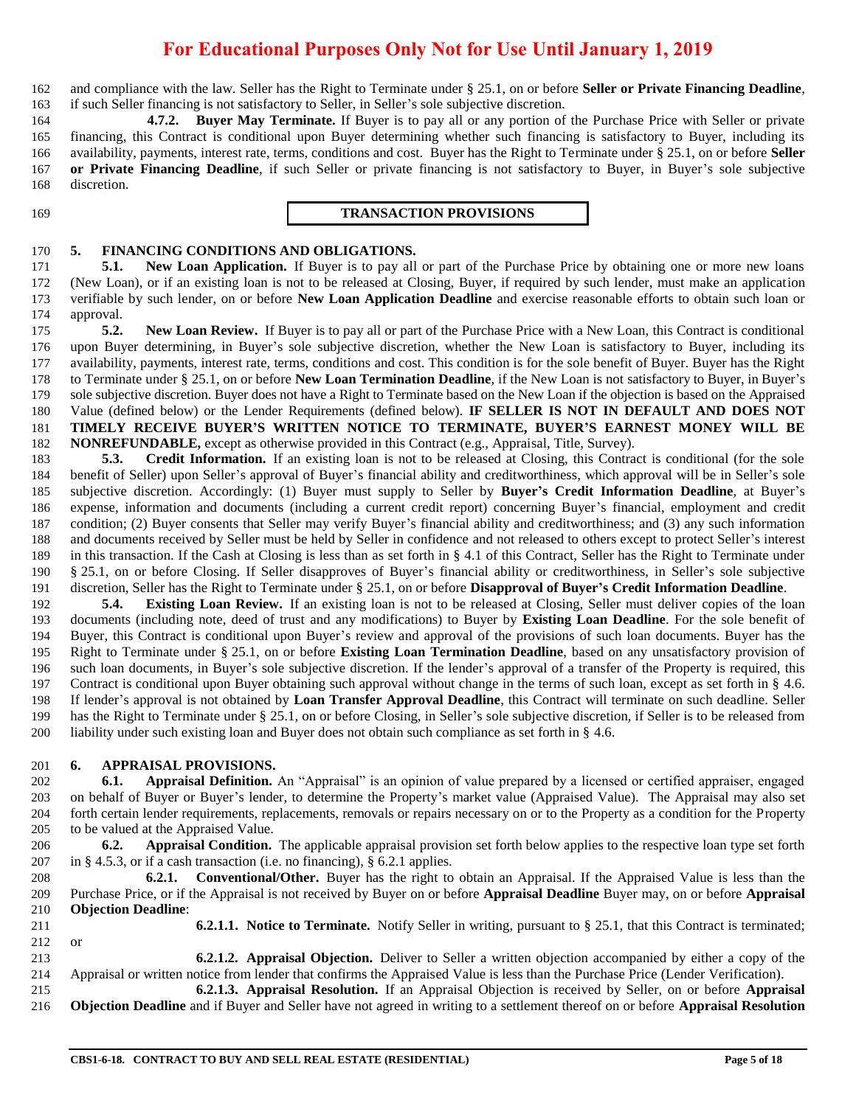and compliance with the law. Seller has the Right to Terminate under § 25.1, on or before **Seller or Private Financing Deadline**, if such Seller financing is not satisfactory to Seller, in Seller's sole subjective discretion.

 **4.7.2. Buyer May Terminate.** If Buyer is to pay all or any portion of the Purchase Price with Seller or private financing, this Contract is conditional upon Buyer determining whether such financing is satisfactory to Buyer, including its availability, payments, interest rate, terms, conditions and cost. Buyer has the Right to Terminate under § 25.1, on or before **Seller or Private Financing Deadline**, if such Seller or private financing is not satisfactory to Buyer, in Buyer's sole subjective discretion.

#### **TRANSACTION PROVISIONS**

#### **5. FINANCING CONDITIONS AND OBLIGATIONS.**

 **5.1. New Loan Application.** If Buyer is to pay all or part of the Purchase Price by obtaining one or more new loans (New Loan), or if an existing loan is not to be released at Closing, Buyer, if required by such lender, must make an application verifiable by such lender, on or before **New Loan Application Deadline** and exercise reasonable efforts to obtain such loan or approval.

 **5.2. New Loan Review.** If Buyer is to pay all or part of the Purchase Price with a New Loan, this Contract is conditional upon Buyer determining, in Buyer's sole subjective discretion, whether the New Loan is satisfactory to Buyer, including its availability, payments, interest rate, terms, conditions and cost. This condition is for the sole benefit of Buyer. Buyer has the Right to Terminate under § 25.1, on or before **New Loan Termination Deadline**, if the New Loan is not satisfactory to Buyer, in Buyer's sole subjective discretion. Buyer does not have a Right to Terminate based on the New Loan if the objection is based on the Appraised Value (defined below) or the Lender Requirements (defined below). **IF SELLER IS NOT IN DEFAULT AND DOES NOT TIMELY RECEIVE BUYER'S WRITTEN NOTICE TO TERMINATE, BUYER'S EARNEST MONEY WILL BE NONREFUNDABLE,** except as otherwise provided in this Contract (e.g., Appraisal, Title, Survey).

 **5.3. Credit Information.** If an existing loan is not to be released at Closing, this Contract is conditional (for the sole benefit of Seller) upon Seller's approval of Buyer's financial ability and creditworthiness, which approval will be in Seller's sole subjective discretion. Accordingly: (1) Buyer must supply to Seller by **Buyer's Credit Information Deadline**, at Buyer's expense, information and documents (including a current credit report) concerning Buyer's financial, employment and credit condition; (2) Buyer consents that Seller may verify Buyer's financial ability and creditworthiness; and (3) any such information and documents received by Seller must be held by Seller in confidence and not released to others except to protect Seller's interest in this transaction. If the Cash at Closing is less than as set forth in § 4.1 of this Contract, Seller has the Right to Terminate under § 25.1, on or before Closing. If Seller disapproves of Buyer's financial ability or creditworthiness, in Seller's sole subjective discretion, Seller has the Right to Terminate under § 25.1, on or before **Disapproval of Buyer's Credit Information Deadline**.

 **5.4. Existing Loan Review.** If an existing loan is not to be released at Closing, Seller must deliver copies of the loan documents (including note, deed of trust and any modifications) to Buyer by **Existing Loan Deadline**. For the sole benefit of Buyer, this Contract is conditional upon Buyer's review and approval of the provisions of such loan documents. Buyer has the Right to Terminate under § 25.1, on or before **Existing Loan Termination Deadline**, based on any unsatisfactory provision of such loan documents, in Buyer's sole subjective discretion. If the lender's approval of a transfer of the Property is required, this Contract is conditional upon Buyer obtaining such approval without change in the terms of such loan, except as set forth in § 4.6. If lender's approval is not obtained by **Loan Transfer Approval Deadline**, this Contract will terminate on such deadline. Seller has the Right to Terminate under § 25.1, on or before Closing, in Seller's sole subjective discretion, if Seller is to be released from liability under such existing loan and Buyer does not obtain such compliance as set forth in § 4.6.

#### **6. APPRAISAL PROVISIONS.**

 **6.1. Appraisal Definition.** An "Appraisal" is an opinion of value prepared by a licensed or certified appraiser, engaged on behalf of Buyer or Buyer's lender, to determine the Property's market value (Appraised Value). The Appraisal may also set forth certain lender requirements, replacements, removals or repairs necessary on or to the Property as a condition for the Property to be valued at the Appraised Value.

 **6.2. Appraisal Condition.** The applicable appraisal provision set forth below applies to the respective loan type set forth 207 in § 4.5.3, or if a cash transaction (i.e. no financing), § 6.2.1 applies.

 **6.2.1. Conventional/Other.** Buyer has the right to obtain an Appraisal. If the Appraised Value is less than the Purchase Price, or if the Appraisal is not received by Buyer on or before **Appraisal Deadline** Buyer may, on or before **Appraisal Objection Deadline**:

or

**6.2.1.1. Notice to Terminate.** Notify Seller in writing, pursuant to § 25.1, that this Contract is terminated;

 **6.2.1.2. Appraisal Objection.** Deliver to Seller a written objection accompanied by either a copy of the Appraisal or written notice from lender that confirms the Appraised Value is less than the Purchase Price (Lender Verification).

 **6.2.1.3. Appraisal Resolution.** If an Appraisal Objection is received by Seller, on or before **Appraisal Objection Deadline** and if Buyer and Seller have not agreed in writing to a settlement thereof on or before **Appraisal Resolution**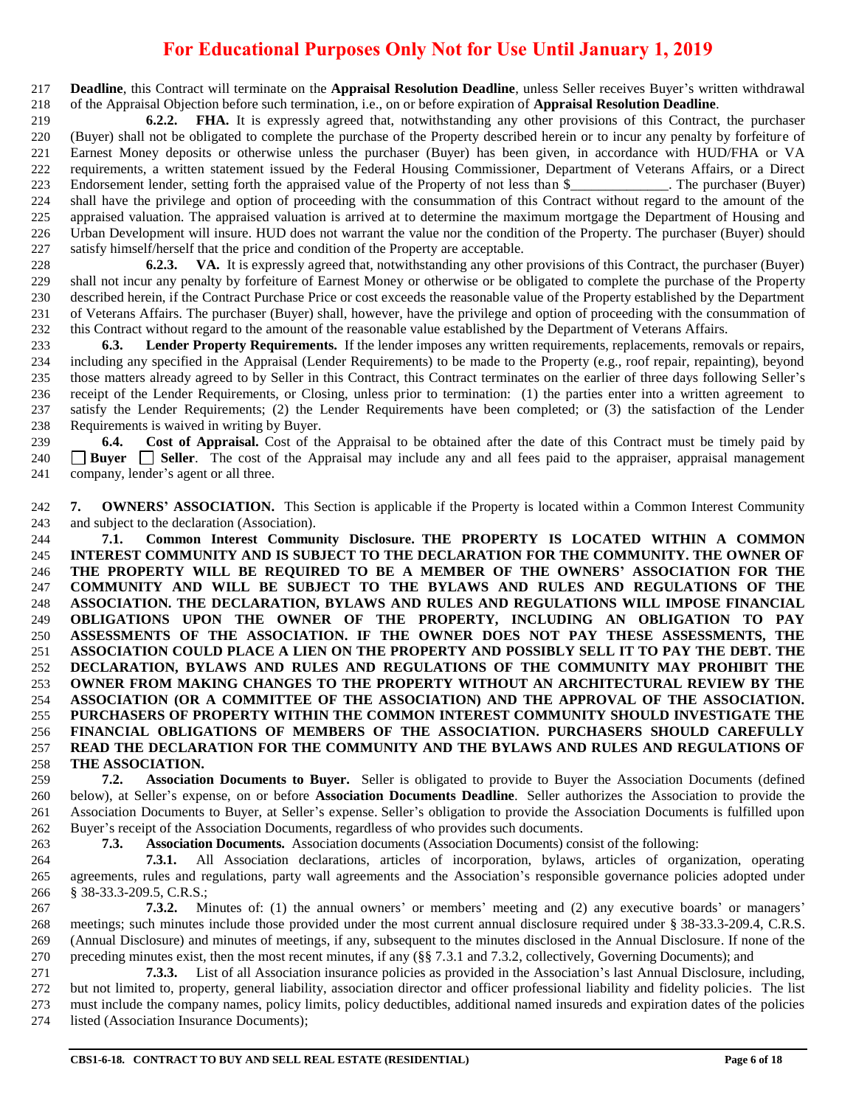**Deadline**, this Contract will terminate on the **Appraisal Resolution Deadline**, unless Seller receives Buyer's written withdrawal of the Appraisal Objection before such termination, i.e., on or before expiration of **Appraisal Resolution Deadline**.

 **6.2.2. FHA.** It is expressly agreed that, notwithstanding any other provisions of this Contract, the purchaser (Buyer) shall not be obligated to complete the purchase of the Property described herein or to incur any penalty by forfeiture of Earnest Money deposits or otherwise unless the purchaser (Buyer) has been given, in accordance with HUD/FHA or VA 222 requirements, a written statement issued by the Federal Housing Commissioner, Department of Veterans Affairs, or a Direct<br>223 Endorsement lender, setting forth the appraised value of the Property of not less than \$\_\_\_\_ Endorsement lender, setting forth the appraised value of the Property of not less than \$\_\_\_\_\_\_\_\_\_\_\_\_\_\_. The purchaser (Buyer) shall have the privilege and option of proceeding with the consummation of this Contract without regard to the amount of the appraised valuation. The appraised valuation is arrived at to determine the maximum mortgage the Department of Housing and Urban Development will insure. HUD does not warrant the value nor the condition of the Property. The purchaser (Buyer) should satisfy himself/herself that the price and condition of the Property are acceptable.

 **6.2.3. VA.** It is expressly agreed that, notwithstanding any other provisions of this Contract, the purchaser (Buyer) shall not incur any penalty by forfeiture of Earnest Money or otherwise or be obligated to complete the purchase of the Property described herein, if the Contract Purchase Price or cost exceeds the reasonable value of the Property established by the Department of Veterans Affairs. The purchaser (Buyer) shall, however, have the privilege and option of proceeding with the consummation of this Contract without regard to the amount of the reasonable value established by the Department of Veterans Affairs.

 **6.3. Lender Property Requirements.** If the lender imposes any written requirements, replacements, removals or repairs, including any specified in the Appraisal (Lender Requirements) to be made to the Property (e.g., roof repair, repainting), beyond those matters already agreed to by Seller in this Contract, this Contract terminates on the earlier of three days following Seller's receipt of the Lender Requirements, or Closing, unless prior to termination: (1) the parties enter into a written agreement to satisfy the Lender Requirements; (2) the Lender Requirements have been completed; or (3) the satisfaction of the Lender Requirements is waived in writing by Buyer.

 **6.4. Cost of Appraisal.** Cost of the Appraisal to be obtained after the date of this Contract must be timely paid by **Buyer Seller**. The cost of the Appraisal may include any and all fees paid to the appraiser, appraisal management company, lender's agent or all three.

 **7. OWNERS' ASSOCIATION.** This Section is applicable if the Property is located within a Common Interest Community and subject to the declaration (Association).

 **7.1. Common Interest Community Disclosure. THE PROPERTY IS LOCATED WITHIN A COMMON INTEREST COMMUNITY AND IS SUBJECT TO THE DECLARATION FOR THE COMMUNITY. THE OWNER OF THE PROPERTY WILL BE REQUIRED TO BE A MEMBER OF THE OWNERS' ASSOCIATION FOR THE COMMUNITY AND WILL BE SUBJECT TO THE BYLAWS AND RULES AND REGULATIONS OF THE ASSOCIATION. THE DECLARATION, BYLAWS AND RULES AND REGULATIONS WILL IMPOSE FINANCIAL OBLIGATIONS UPON THE OWNER OF THE PROPERTY, INCLUDING AN OBLIGATION TO PAY ASSESSMENTS OF THE ASSOCIATION. IF THE OWNER DOES NOT PAY THESE ASSESSMENTS, THE ASSOCIATION COULD PLACE A LIEN ON THE PROPERTY AND POSSIBLY SELL IT TO PAY THE DEBT. THE DECLARATION, BYLAWS AND RULES AND REGULATIONS OF THE COMMUNITY MAY PROHIBIT THE OWNER FROM MAKING CHANGES TO THE PROPERTY WITHOUT AN ARCHITECTURAL REVIEW BY THE ASSOCIATION (OR A COMMITTEE OF THE ASSOCIATION) AND THE APPROVAL OF THE ASSOCIATION. PURCHASERS OF PROPERTY WITHIN THE COMMON INTEREST COMMUNITY SHOULD INVESTIGATE THE FINANCIAL OBLIGATIONS OF MEMBERS OF THE ASSOCIATION. PURCHASERS SHOULD CAREFULLY READ THE DECLARATION FOR THE COMMUNITY AND THE BYLAWS AND RULES AND REGULATIONS OF THE ASSOCIATION.**

 **7.2. Association Documents to Buyer.** Seller is obligated to provide to Buyer the Association Documents (defined below), at Seller's expense, on or before **Association Documents Deadline**. Seller authorizes the Association to provide the Association Documents to Buyer, at Seller's expense. Seller's obligation to provide the Association Documents is fulfilled upon Buyer's receipt of the Association Documents, regardless of who provides such documents.

**7.3. Association Documents.** Association documents (Association Documents) consist of the following:

 **7.3.1.** All Association declarations, articles of incorporation, bylaws, articles of organization, operating agreements, rules and regulations, party wall agreements and the Association's responsible governance policies adopted under § 38-33.3-209.5, C.R.S.;

 **7.3.2.** Minutes of: (1) the annual owners' or members' meeting and (2) any executive boards' or managers' meetings; such minutes include those provided under the most current annual disclosure required under § 38-33.3-209.4, C.R.S. (Annual Disclosure) and minutes of meetings, if any, subsequent to the minutes disclosed in the Annual Disclosure. If none of the preceding minutes exist, then the most recent minutes, if any (§§ 7.3.1 and 7.3.2, collectively, Governing Documents); and

 **7.3.3.** List of all Association insurance policies as provided in the Association's last Annual Disclosure, including, but not limited to, property, general liability, association director and officer professional liability and fidelity policies. The list must include the company names, policy limits, policy deductibles, additional named insureds and expiration dates of the policies listed (Association Insurance Documents);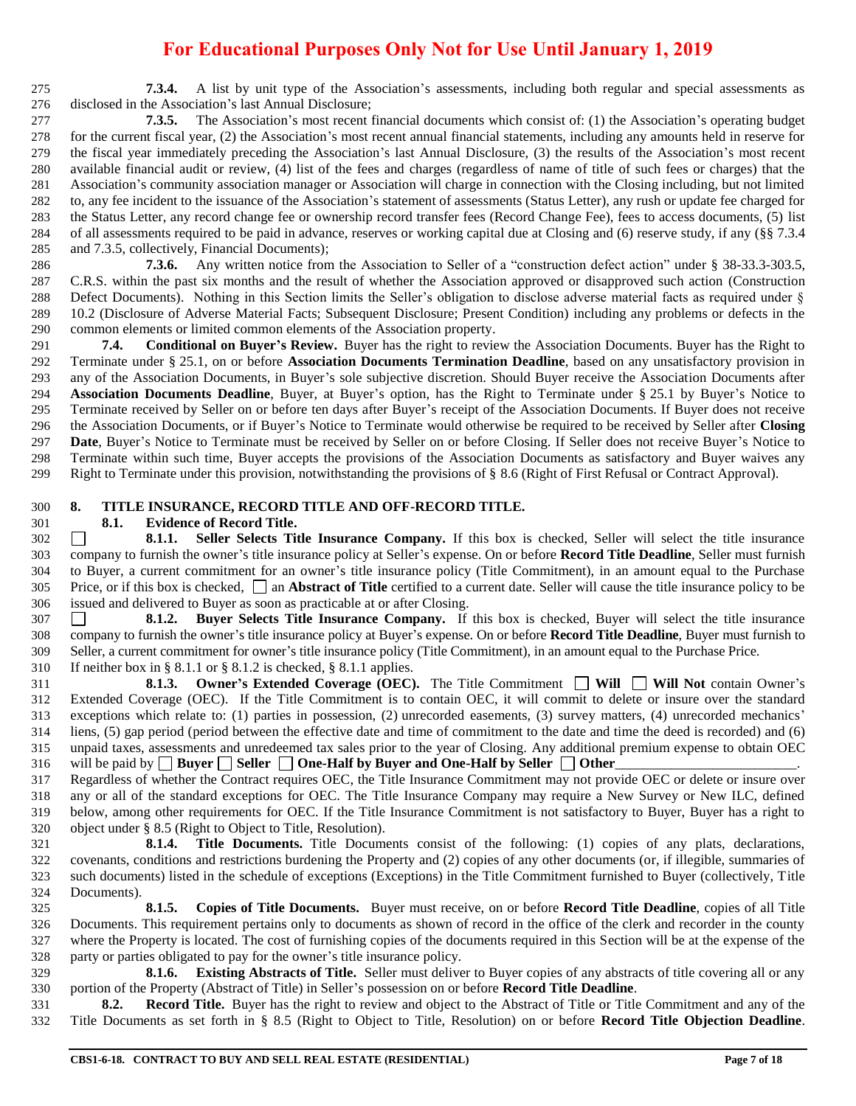**7.3.4.** A list by unit type of the Association's assessments, including both regular and special assessments as disclosed in the Association's last Annual Disclosure;

 **7.3.5.** The Association's most recent financial documents which consist of: (1) the Association's operating budget for the current fiscal year, (2) the Association's most recent annual financial statements, including any amounts held in reserve for the fiscal year immediately preceding the Association's last Annual Disclosure, (3) the results of the Association's most recent available financial audit or review, (4) list of the fees and charges (regardless of name of title of such fees or charges) that the Association's community association manager or Association will charge in connection with the Closing including, but not limited to, any fee incident to the issuance of the Association's statement of assessments (Status Letter), any rush or update fee charged for the Status Letter, any record change fee or ownership record transfer fees (Record Change Fee), fees to access documents, (5) list of all assessments required to be paid in advance, reserves or working capital due at Closing and (6) reserve study, if any (§§ 7.3.4 and 7.3.5, collectively, Financial Documents);

 **7.3.6.** Any written notice from the Association to Seller of a "construction defect action" under § 38-33.3-303.5, C.R.S. within the past six months and the result of whether the Association approved or disapproved such action (Construction Defect Documents). Nothing in this Section limits the Seller's obligation to disclose adverse material facts as required under § 10.2 (Disclosure of Adverse Material Facts; Subsequent Disclosure; Present Condition) including any problems or defects in the common elements or limited common elements of the Association property.

 **7.4. Conditional on Buyer's Review.** Buyer has the right to review the Association Documents. Buyer has the Right to Terminate under § 25.1, on or before **Association Documents Termination Deadline**, based on any unsatisfactory provision in any of the Association Documents, in Buyer's sole subjective discretion. Should Buyer receive the Association Documents after **Association Documents Deadline**, Buyer, at Buyer's option, has the Right to Terminate under § 25.1 by Buyer's Notice to Terminate received by Seller on or before ten days after Buyer's receipt of the Association Documents. If Buyer does not receive the Association Documents, or if Buyer's Notice to Terminate would otherwise be required to be received by Seller after **Closing Date**, Buyer's Notice to Terminate must be received by Seller on or before Closing. If Seller does not receive Buyer's Notice to Terminate within such time, Buyer accepts the provisions of the Association Documents as satisfactory and Buyer waives any Right to Terminate under this provision, notwithstanding the provisions of § 8.6 (Right of First Refusal or Contract Approval).

### **8. TITLE INSURANCE, RECORD TITLE AND OFF-RECORD TITLE.**

### **8.1. Evidence of Record Title.**

 **8.1.1. Seller Selects Title Insurance Company.** If this box is checked, Seller will select the title insurance company to furnish the owner's title insurance policy at Seller's expense. On or before **Record Title Deadline**, Seller must furnish to Buyer, a current commitment for an owner's title insurance policy (Title Commitment), in an amount equal to the Purchase 305 Price, or if this box is checked,  $\Box$  an **Abstract of Title** certified to a current date. Seller will cause the title insurance policy to be issued and delivered to Buyer as soon as practicable at or after Closing.

 **8.1.2. Buyer Selects Title Insurance Company.** If this box is checked, Buyer will select the title insurance company to furnish the owner's title insurance policy at Buyer's expense. On or before **Record Title Deadline**, Buyer must furnish to Seller, a current commitment for owner's title insurance policy (Title Commitment), in an amount equal to the Purchase Price. If neither box in § 8.1.1 or § 8.1.2 is checked, § 8.1.1 applies.

**8.1.3. Owner's Extended Coverage (OEC).** The Title Commitment  $\Box$  **Will**  $\Box$  **Will Not** contain Owner's Extended Coverage (OEC). If the Title Commitment is to contain OEC, it will commit to delete or insure over the standard exceptions which relate to: (1) parties in possession, (2) unrecorded easements, (3) survey matters, (4) unrecorded mechanics' liens, (5) gap period (period between the effective date and time of commitment to the date and time the deed is recorded) and (6) unpaid taxes, assessments and unredeemed tax sales prior to the year of Closing. Any additional premium expense to obtain OEC 316 will be paid by  $\Box$  **Buyer**  $\Box$  **Seller**  $\Box$  **One-Half by Buyer and One-Half by Seller**  $\Box$  **Other** 

 Regardless of whether the Contract requires OEC, the Title Insurance Commitment may not provide OEC or delete or insure over any or all of the standard exceptions for OEC. The Title Insurance Company may require a New Survey or New ILC, defined below, among other requirements for OEC. If the Title Insurance Commitment is not satisfactory to Buyer, Buyer has a right to object under § 8.5 (Right to Object to Title, Resolution).

 **8.1.4. Title Documents.** Title Documents consist of the following: (1) copies of any plats, declarations, covenants, conditions and restrictions burdening the Property and (2) copies of any other documents (or, if illegible, summaries of such documents) listed in the schedule of exceptions (Exceptions) in the Title Commitment furnished to Buyer (collectively, Title Documents).

 **8.1.5. Copies of Title Documents.** Buyer must receive, on or before **Record Title Deadline**, copies of all Title Documents. This requirement pertains only to documents as shown of record in the office of the clerk and recorder in the county where the Property is located. The cost of furnishing copies of the documents required in this Section will be at the expense of the party or parties obligated to pay for the owner's title insurance policy.

 **8.1.6. Existing Abstracts of Title.** Seller must deliver to Buyer copies of any abstracts of title covering all or any portion of the Property (Abstract of Title) in Seller's possession on or before **Record Title Deadline**.

 **8.2. Record Title.** Buyer has the right to review and object to the Abstract of Title or Title Commitment and any of the Title Documents as set forth in § 8.5 (Right to Object to Title, Resolution) on or before **Record Title Objection Deadline**.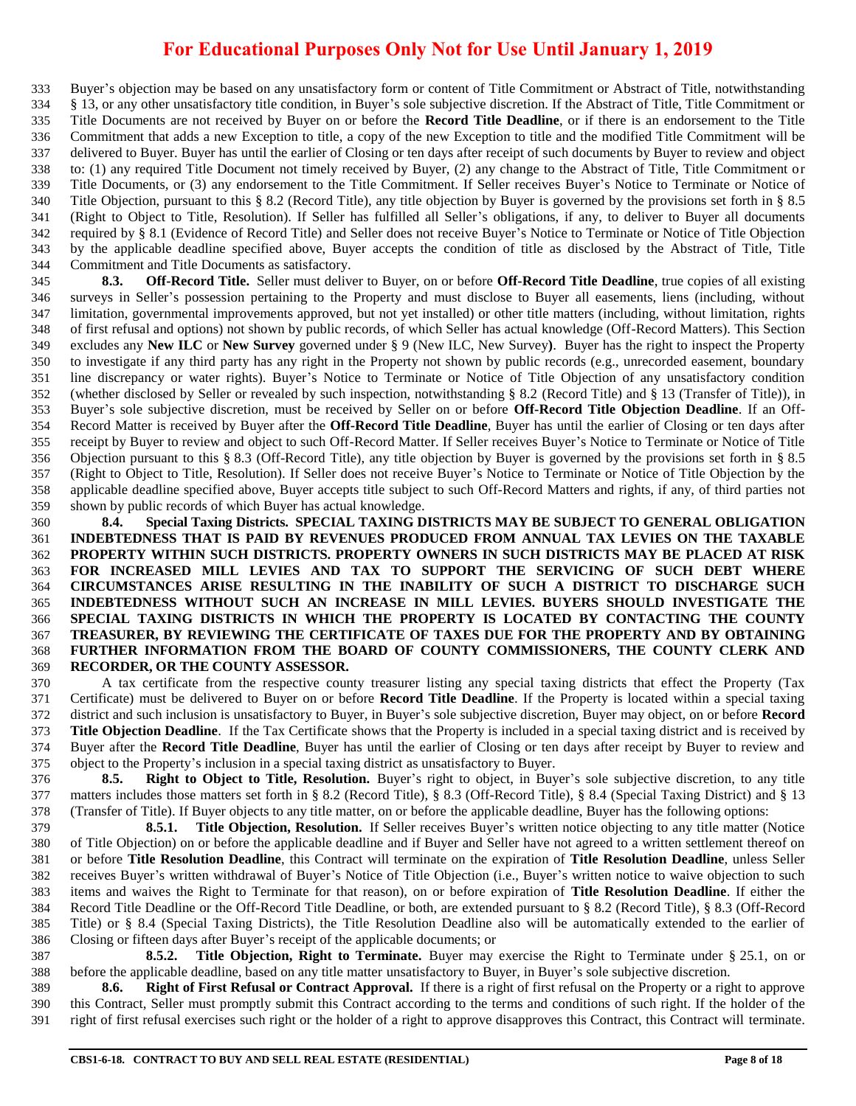Buyer's objection may be based on any unsatisfactory form or content of Title Commitment or Abstract of Title, notwithstanding § 13, or any other unsatisfactory title condition, in Buyer's sole subjective discretion. If the Abstract of Title, Title Commitment or Title Documents are not received by Buyer on or before the **Record Title Deadline**, or if there is an endorsement to the Title Commitment that adds a new Exception to title, a copy of the new Exception to title and the modified Title Commitment will be delivered to Buyer. Buyer has until the earlier of Closing or ten days after receipt of such documents by Buyer to review and object to: (1) any required Title Document not timely received by Buyer, (2) any change to the Abstract of Title, Title Commitment or Title Documents, or (3) any endorsement to the Title Commitment. If Seller receives Buyer's Notice to Terminate or Notice of Title Objection, pursuant to this § 8.2 (Record Title), any title objection by Buyer is governed by the provisions set forth in § 8.5 (Right to Object to Title, Resolution). If Seller has fulfilled all Seller's obligations, if any, to deliver to Buyer all documents required by § 8.1 (Evidence of Record Title) and Seller does not receive Buyer's Notice to Terminate or Notice of Title Objection by the applicable deadline specified above, Buyer accepts the condition of title as disclosed by the Abstract of Title, Title Commitment and Title Documents as satisfactory.

 **8.3. Off-Record Title.** Seller must deliver to Buyer, on or before **Off-Record Title Deadline**, true copies of all existing surveys in Seller's possession pertaining to the Property and must disclose to Buyer all easements, liens (including, without limitation, governmental improvements approved, but not yet installed) or other title matters (including, without limitation, rights of first refusal and options) not shown by public records, of which Seller has actual knowledge (Off-Record Matters). This Section excludes any **New ILC** or **New Survey** governed under § 9 (New ILC, New Survey**)**. Buyer has the right to inspect the Property to investigate if any third party has any right in the Property not shown by public records (e.g., unrecorded easement, boundary line discrepancy or water rights). Buyer's Notice to Terminate or Notice of Title Objection of any unsatisfactory condition (whether disclosed by Seller or revealed by such inspection, notwithstanding § 8.2 (Record Title) and § 13 (Transfer of Title)), in Buyer's sole subjective discretion, must be received by Seller on or before **Off-Record Title Objection Deadline**. If an Off- Record Matter is received by Buyer after the **Off-Record Title Deadline**, Buyer has until the earlier of Closing or ten days after receipt by Buyer to review and object to such Off-Record Matter. If Seller receives Buyer's Notice to Terminate or Notice of Title Objection pursuant to this § 8.3 (Off-Record Title), any title objection by Buyer is governed by the provisions set forth in § 8.5 (Right to Object to Title, Resolution). If Seller does not receive Buyer's Notice to Terminate or Notice of Title Objection by the applicable deadline specified above, Buyer accepts title subject to such Off-Record Matters and rights, if any, of third parties not shown by public records of which Buyer has actual knowledge.

 **8.4. Special Taxing Districts. SPECIAL TAXING DISTRICTS MAY BE SUBJECT TO GENERAL OBLIGATION INDEBTEDNESS THAT IS PAID BY REVENUES PRODUCED FROM ANNUAL TAX LEVIES ON THE TAXABLE PROPERTY WITHIN SUCH DISTRICTS. PROPERTY OWNERS IN SUCH DISTRICTS MAY BE PLACED AT RISK FOR INCREASED MILL LEVIES AND TAX TO SUPPORT THE SERVICING OF SUCH DEBT WHERE CIRCUMSTANCES ARISE RESULTING IN THE INABILITY OF SUCH A DISTRICT TO DISCHARGE SUCH INDEBTEDNESS WITHOUT SUCH AN INCREASE IN MILL LEVIES. BUYERS SHOULD INVESTIGATE THE SPECIAL TAXING DISTRICTS IN WHICH THE PROPERTY IS LOCATED BY CONTACTING THE COUNTY TREASURER, BY REVIEWING THE CERTIFICATE OF TAXES DUE FOR THE PROPERTY AND BY OBTAINING FURTHER INFORMATION FROM THE BOARD OF COUNTY COMMISSIONERS, THE COUNTY CLERK AND RECORDER, OR THE COUNTY ASSESSOR.**

 A tax certificate from the respective county treasurer listing any special taxing districts that effect the Property (Tax Certificate) must be delivered to Buyer on or before **Record Title Deadline**. If the Property is located within a special taxing district and such inclusion is unsatisfactory to Buyer, in Buyer's sole subjective discretion, Buyer may object, on or before **Record Title Objection Deadline**. If the Tax Certificate shows that the Property is included in a special taxing district and is received by Buyer after the **Record Title Deadline**, Buyer has until the earlier of Closing or ten days after receipt by Buyer to review and object to the Property's inclusion in a special taxing district as unsatisfactory to Buyer.

 **8.5. Right to Object to Title, Resolution.** Buyer's right to object, in Buyer's sole subjective discretion, to any title matters includes those matters set forth in § 8.2 (Record Title), § 8.3 (Off-Record Title), § 8.4 (Special Taxing District) and § 13 (Transfer of Title). If Buyer objects to any title matter, on or before the applicable deadline, Buyer has the following options:

 **8.5.1. Title Objection, Resolution.** If Seller receives Buyer's written notice objecting to any title matter (Notice of Title Objection) on or before the applicable deadline and if Buyer and Seller have not agreed to a written settlement thereof on or before **Title Resolution Deadline**, this Contract will terminate on the expiration of **Title Resolution Deadline**, unless Seller receives Buyer's written withdrawal of Buyer's Notice of Title Objection (i.e., Buyer's written notice to waive objection to such items and waives the Right to Terminate for that reason), on or before expiration of **Title Resolution Deadline**. If either the Record Title Deadline or the Off-Record Title Deadline, or both, are extended pursuant to § 8.2 (Record Title), § 8.3 (Off-Record Title) or § 8.4 (Special Taxing Districts), the Title Resolution Deadline also will be automatically extended to the earlier of Closing or fifteen days after Buyer's receipt of the applicable documents; or

 **8.5.2. Title Objection, Right to Terminate.** Buyer may exercise the Right to Terminate under § 25.1, on or before the applicable deadline, based on any title matter unsatisfactory to Buyer, in Buyer's sole subjective discretion.

 **8.6. Right of First Refusal or Contract Approval.** If there is a right of first refusal on the Property or a right to approve this Contract, Seller must promptly submit this Contract according to the terms and conditions of such right. If the holder of the right of first refusal exercises such right or the holder of a right to approve disapproves this Contract, this Contract will terminate.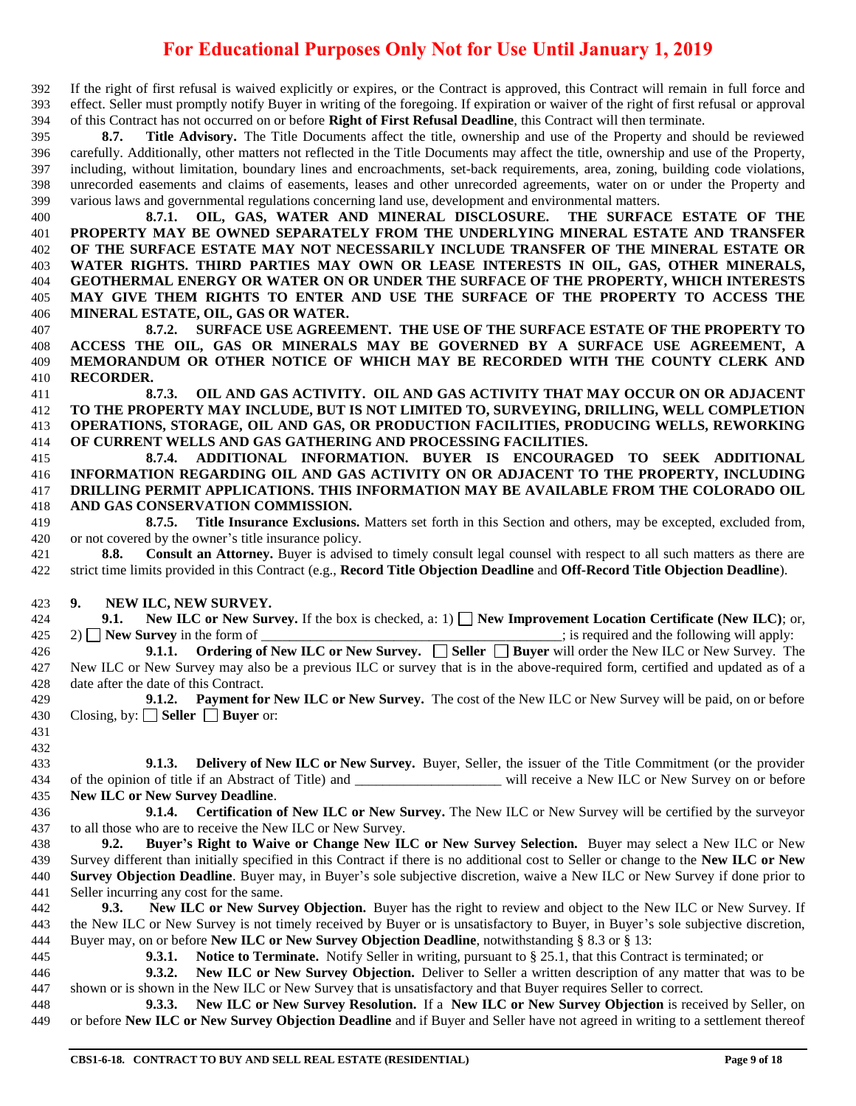If the right of first refusal is waived explicitly or expires, or the Contract is approved, this Contract will remain in full force and effect. Seller must promptly notify Buyer in writing of the foregoing. If expiration or waiver of the right of first refusal or approval of this Contract has not occurred on or before **Right of First Refusal Deadline**, this Contract will then terminate.

 **8.7. Title Advisory.** The Title Documents affect the title, ownership and use of the Property and should be reviewed carefully. Additionally, other matters not reflected in the Title Documents may affect the title, ownership and use of the Property, including, without limitation, boundary lines and encroachments, set-back requirements, area, zoning, building code violations, unrecorded easements and claims of easements, leases and other unrecorded agreements, water on or under the Property and various laws and governmental regulations concerning land use, development and environmental matters.

 **8.7.1. OIL, GAS, WATER AND MINERAL DISCLOSURE. THE SURFACE ESTATE OF THE PROPERTY MAY BE OWNED SEPARATELY FROM THE UNDERLYING MINERAL ESTATE AND TRANSFER OF THE SURFACE ESTATE MAY NOT NECESSARILY INCLUDE TRANSFER OF THE MINERAL ESTATE OR WATER RIGHTS. THIRD PARTIES MAY OWN OR LEASE INTERESTS IN OIL, GAS, OTHER MINERALS, GEOTHERMAL ENERGY OR WATER ON OR UNDER THE SURFACE OF THE PROPERTY, WHICH INTERESTS MAY GIVE THEM RIGHTS TO ENTER AND USE THE SURFACE OF THE PROPERTY TO ACCESS THE MINERAL ESTATE, OIL, GAS OR WATER.**

 **8.7.2. SURFACE USE AGREEMENT. THE USE OF THE SURFACE ESTATE OF THE PROPERTY TO ACCESS THE OIL, GAS OR MINERALS MAY BE GOVERNED BY A SURFACE USE AGREEMENT, A MEMORANDUM OR OTHER NOTICE OF WHICH MAY BE RECORDED WITH THE COUNTY CLERK AND RECORDER.**

 **8.7.3. OIL AND GAS ACTIVITY. OIL AND GAS ACTIVITY THAT MAY OCCUR ON OR ADJACENT TO THE PROPERTY MAY INCLUDE, BUT IS NOT LIMITED TO, SURVEYING, DRILLING, WELL COMPLETION OPERATIONS, STORAGE, OIL AND GAS, OR PRODUCTION FACILITIES, PRODUCING WELLS, REWORKING OF CURRENT WELLS AND GAS GATHERING AND PROCESSING FACILITIES.**

 **8.7.4. ADDITIONAL INFORMATION. BUYER IS ENCOURAGED TO SEEK ADDITIONAL INFORMATION REGARDING OIL AND GAS ACTIVITY ON OR ADJACENT TO THE PROPERTY, INCLUDING DRILLING PERMIT APPLICATIONS. THIS INFORMATION MAY BE AVAILABLE FROM THE COLORADO OIL AND GAS CONSERVATION COMMISSION.**

 **8.7.5. Title Insurance Exclusions.** Matters set forth in this Section and others, may be excepted, excluded from, or not covered by the owner's title insurance policy.

 **8.8. Consult an Attorney.** Buyer is advised to timely consult legal counsel with respect to all such matters as there are strict time limits provided in this Contract (e.g., **Record Title Objection Deadline** and **Off-Record Title Objection Deadline**).

### **9. NEW ILC, NEW SURVEY.**

 **9.1. New ILC or New Survey.** If the box is checked, a: 1) **New Improvement Location Certificate (New ILC)**; or,  $425 \quad 2)$  **New Survey** in the form of  $\qquad \qquad$ ; is required and the following will apply:

**9.1.1.** Ordering of New ILC or New Survey. Seller Buyer will order the New ILC or New Survey. The New ILC or New Survey may also be a previous ILC or survey that is in the above-required form, certified and updated as of a date after the date of this Contract.

- **9.1.2. Payment for New ILC or New Survey.** The cost of the New ILC or New Survey will be paid, on or before 430 Closing, by: Seller Buyer or:
- **9.1.3. Delivery of New ILC or New Survey.** Buyer, Seller, the issuer of the Title Commitment (or the provider 434 of the opinion of title if an Abstract of Title) and  $\blacksquare$  will receive a New ILC or New Survey on or before **New ILC or New Survey Deadline**.

 **9.1.4. Certification of New ILC or New Survey.** The New ILC or New Survey will be certified by the surveyor to all those who are to receive the New ILC or New Survey.

 **9.2. Buyer's Right to Waive or Change New ILC or New Survey Selection.** Buyer may select a New ILC or New Survey different than initially specified in this Contract if there is no additional cost to Seller or change to the **New ILC or New Survey Objection Deadline**. Buyer may, in Buyer's sole subjective discretion, waive a New ILC or New Survey if done prior to Seller incurring any cost for the same.

 **9.3. New ILC or New Survey Objection.** Buyer has the right to review and object to the New ILC or New Survey. If the New ILC or New Survey is not timely received by Buyer or is unsatisfactory to Buyer, in Buyer's sole subjective discretion, Buyer may, on or before **New ILC or New Survey Objection Deadline**, notwithstanding § 8.3 or § 13:

**9.3.1. Notice to Terminate.** Notify Seller in writing, pursuant to § 25.1, that this Contract is terminated; or

 **9.3.2. New ILC or New Survey Objection.** Deliver to Seller a written description of any matter that was to be shown or is shown in the New ILC or New Survey that is unsatisfactory and that Buyer requires Seller to correct.

 **9.3.3. New ILC or New Survey Resolution.** If a **New ILC or New Survey Objection** is received by Seller, on or before **New ILC or New Survey Objection Deadline** and if Buyer and Seller have not agreed in writing to a settlement thereof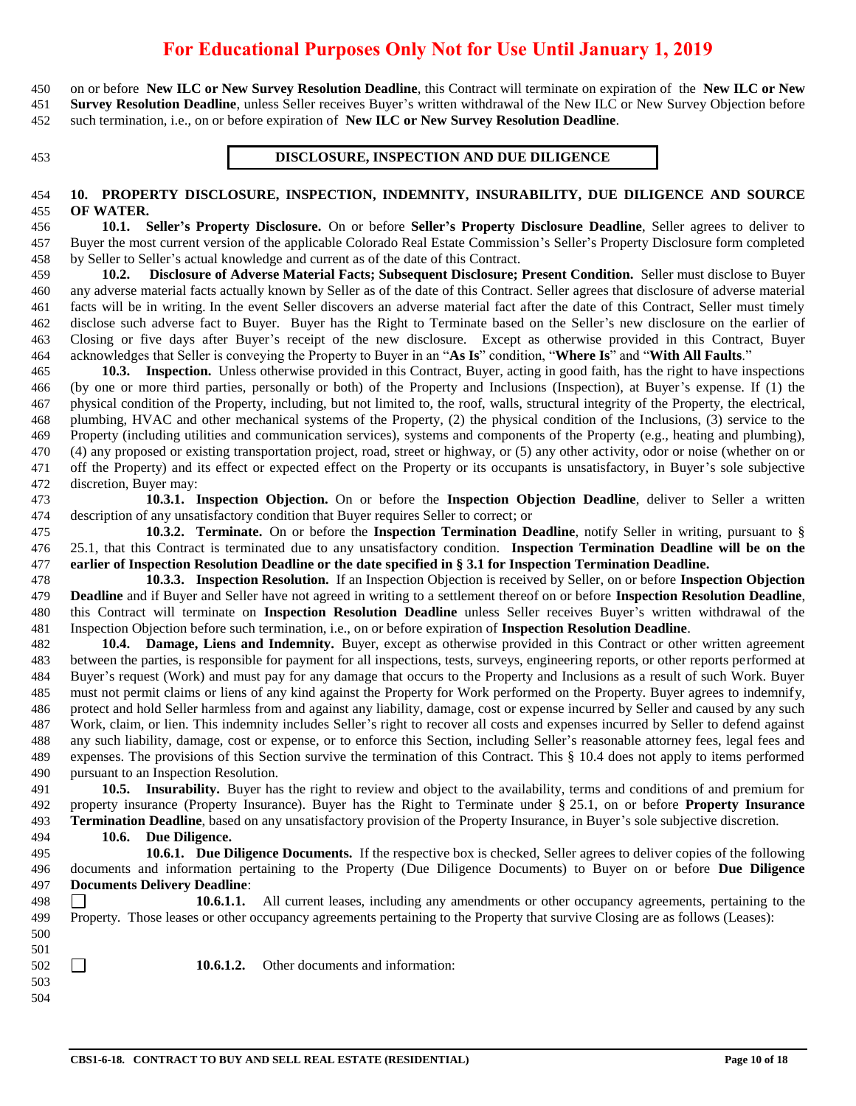on or before **New ILC or New Survey Resolution Deadline**, this Contract will terminate on expiration of the **New ILC or New Survey Resolution Deadline**, unless Seller receives Buyer's written withdrawal of the New ILC or New Survey Objection before such termination, i.e., on or before expiration of **New ILC or New Survey Resolution Deadline**.

#### **DISCLOSURE, INSPECTION AND DUE DILIGENCE**

#### **10. PROPERTY DISCLOSURE, INSPECTION, INDEMNITY, INSURABILITY, DUE DILIGENCE AND SOURCE OF WATER.**

 **10.1. Seller's Property Disclosure.** On or before **Seller's Property Disclosure Deadline**, Seller agrees to deliver to Buyer the most current version of the applicable Colorado Real Estate Commission's Seller's Property Disclosure form completed by Seller to Seller's actual knowledge and current as of the date of this Contract.

 **10.2. Disclosure of Adverse Material Facts; Subsequent Disclosure; Present Condition.** Seller must disclose to Buyer any adverse material facts actually known by Seller as of the date of this Contract. Seller agrees that disclosure of adverse material facts will be in writing. In the event Seller discovers an adverse material fact after the date of this Contract, Seller must timely disclose such adverse fact to Buyer. Buyer has the Right to Terminate based on the Seller's new disclosure on the earlier of Closing or five days after Buyer's receipt of the new disclosure. Except as otherwise provided in this Contract, Buyer acknowledges that Seller is conveying the Property to Buyer in an "**As Is**" condition, "**Where Is**" and "**With All Faults**."

 **10.3. Inspection.** Unless otherwise provided in this Contract, Buyer, acting in good faith, has the right to have inspections (by one or more third parties, personally or both) of the Property and Inclusions (Inspection), at Buyer's expense. If (1) the physical condition of the Property, including, but not limited to, the roof, walls, structural integrity of the Property, the electrical, plumbing, HVAC and other mechanical systems of the Property, (2) the physical condition of the Inclusions, (3) service to the Property (including utilities and communication services), systems and components of the Property (e.g., heating and plumbing), (4) any proposed or existing transportation project, road, street or highway, or (5) any other activity, odor or noise (whether on or off the Property) and its effect or expected effect on the Property or its occupants is unsatisfactory, in Buyer's sole subjective discretion, Buyer may:

 **10.3.1. Inspection Objection.** On or before the **Inspection Objection Deadline**, deliver to Seller a written description of any unsatisfactory condition that Buyer requires Seller to correct; or

 **10.3.2. Terminate.** On or before the **Inspection Termination Deadline**, notify Seller in writing, pursuant to § 25.1, that this Contract is terminated due to any unsatisfactory condition. **Inspection Termination Deadline will be on the earlier of Inspection Resolution Deadline or the date specified in § 3.1 for Inspection Termination Deadline.**

 **10.3.3. Inspection Resolution.** If an Inspection Objection is received by Seller, on or before **Inspection Objection Deadline** and if Buyer and Seller have not agreed in writing to a settlement thereof on or before **Inspection Resolution Deadline**, this Contract will terminate on **Inspection Resolution Deadline** unless Seller receives Buyer's written withdrawal of the Inspection Objection before such termination, i.e., on or before expiration of **Inspection Resolution Deadline**.

 **10.4. Damage, Liens and Indemnity.** Buyer, except as otherwise provided in this Contract or other written agreement between the parties, is responsible for payment for all inspections, tests, surveys, engineering reports, or other reports performed at Buyer's request (Work) and must pay for any damage that occurs to the Property and Inclusions as a result of such Work. Buyer must not permit claims or liens of any kind against the Property for Work performed on the Property. Buyer agrees to indemnify, protect and hold Seller harmless from and against any liability, damage, cost or expense incurred by Seller and caused by any such Work, claim, or lien. This indemnity includes Seller's right to recover all costs and expenses incurred by Seller to defend against any such liability, damage, cost or expense, or to enforce this Section, including Seller's reasonable attorney fees, legal fees and expenses. The provisions of this Section survive the termination of this Contract. This § 10.4 does not apply to items performed pursuant to an Inspection Resolution.

 **10.5. Insurability.** Buyer has the right to review and object to the availability, terms and conditions of and premium for property insurance (Property Insurance). Buyer has the Right to Terminate under § 25.1, on or before **Property Insurance Termination Deadline**, based on any unsatisfactory provision of the Property Insurance, in Buyer's sole subjective discretion.

#### **10.6. Due Diligence.**

 **10.6.1. Due Diligence Documents.** If the respective box is checked, Seller agrees to deliver copies of the following documents and information pertaining to the Property (Due Diligence Documents) to Buyer on or before **Due Diligence Documents Delivery Deadline**:

**10.6.1.1.** All current leases, including any amendments or other occupancy agreements, pertaining to the Property. Those leases or other occupancy agreements pertaining to the Property that survive Closing are as follows (Leases):

- 
- **10.6.1.2.** Other documents and information: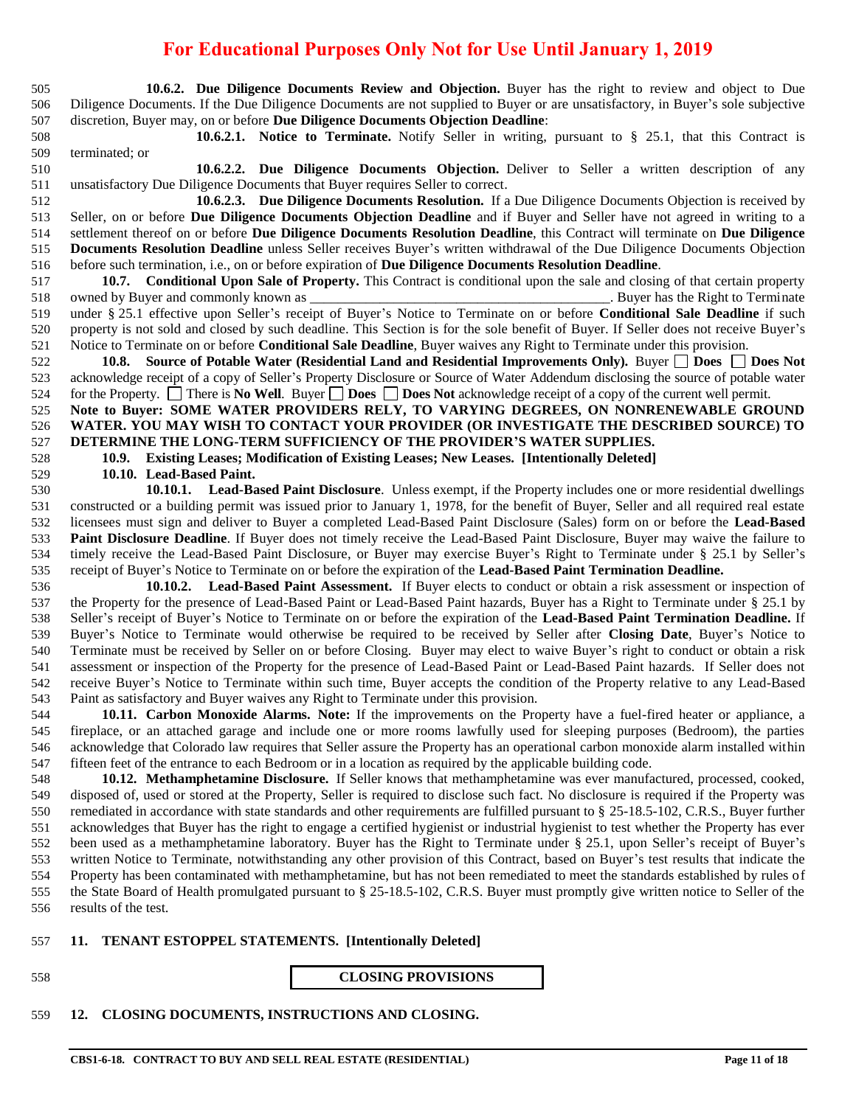**10.6.2. Due Diligence Documents Review and Objection.** Buyer has the right to review and object to Due Diligence Documents. If the Due Diligence Documents are not supplied to Buyer or are unsatisfactory, in Buyer's sole subjective discretion, Buyer may, on or before **Due Diligence Documents Objection Deadline**:

terminated; or

**10.6.2.1. Notice to Terminate.** Notify Seller in writing, pursuant to § 25.1, that this Contract is

 **10.6.2.2. Due Diligence Documents Objection.** Deliver to Seller a written description of any unsatisfactory Due Diligence Documents that Buyer requires Seller to correct.

 **10.6.2.3. Due Diligence Documents Resolution.** If a Due Diligence Documents Objection is received by Seller, on or before **Due Diligence Documents Objection Deadline** and if Buyer and Seller have not agreed in writing to a settlement thereof on or before **Due Diligence Documents Resolution Deadline**, this Contract will terminate on **Due Diligence Documents Resolution Deadline** unless Seller receives Buyer's written withdrawal of the Due Diligence Documents Objection before such termination, i.e., on or before expiration of **Due Diligence Documents Resolution Deadline**.

 **10.7. Conditional Upon Sale of Property.** This Contract is conditional upon the sale and closing of that certain property owned by Buyer and commonly known as \_\_\_\_\_\_\_\_\_\_\_\_\_\_\_\_\_\_\_\_\_\_\_\_\_\_\_\_\_\_\_\_\_\_\_\_\_\_\_\_\_\_\_. Buyer has the Right to Terminate under § 25.1 effective upon Seller's receipt of Buyer's Notice to Terminate on or before **Conditional Sale Deadline** if such property is not sold and closed by such deadline. This Section is for the sole benefit of Buyer. If Seller does not receive Buyer's Notice to Terminate on or before **Conditional Sale Deadline**, Buyer waives any Right to Terminate under this provision.

 **10.8. Source of Potable Water (Residential Land and Residential Improvements Only).** Buyer **Does Does Not** acknowledge receipt of a copy of Seller's Property Disclosure or Source of Water Addendum disclosing the source of potable water for the Property. There is **No Well**. Buyer **Does Does Not** acknowledge receipt of a copy of the current well permit. **Note to Buyer: SOME WATER PROVIDERS RELY, TO VARYING DEGREES, ON NONRENEWABLE GROUND** 

### **WATER. YOU MAY WISH TO CONTACT YOUR PROVIDER (OR INVESTIGATE THE DESCRIBED SOURCE) TO DETERMINE THE LONG-TERM SUFFICIENCY OF THE PROVIDER'S WATER SUPPLIES.**

**10.9. Existing Leases; Modification of Existing Leases; New Leases. [Intentionally Deleted]**

**10.10. Lead-Based Paint.**

 **10.10.1. Lead-Based Paint Disclosure**. Unless exempt, if the Property includes one or more residential dwellings constructed or a building permit was issued prior to January 1, 1978, for the benefit of Buyer, Seller and all required real estate licensees must sign and deliver to Buyer a completed Lead-Based Paint Disclosure (Sales) form on or before the **Lead-Based Paint Disclosure Deadline**. If Buyer does not timely receive the Lead-Based Paint Disclosure, Buyer may waive the failure to timely receive the Lead-Based Paint Disclosure, or Buyer may exercise Buyer's Right to Terminate under § 25.1 by Seller's receipt of Buyer's Notice to Terminate on or before the expiration of the **Lead-Based Paint Termination Deadline.**

 **10.10.2. Lead-Based Paint Assessment.** If Buyer elects to conduct or obtain a risk assessment or inspection of the Property for the presence of Lead-Based Paint or Lead-Based Paint hazards, Buyer has a Right to Terminate under § 25.1 by Seller's receipt of Buyer's Notice to Terminate on or before the expiration of the **Lead-Based Paint Termination Deadline.** If Buyer's Notice to Terminate would otherwise be required to be received by Seller after **Closing Date**, Buyer's Notice to Terminate must be received by Seller on or before Closing. Buyer may elect to waive Buyer's right to conduct or obtain a risk assessment or inspection of the Property for the presence of Lead-Based Paint or Lead-Based Paint hazards. If Seller does not receive Buyer's Notice to Terminate within such time, Buyer accepts the condition of the Property relative to any Lead-Based Paint as satisfactory and Buyer waives any Right to Terminate under this provision.

 **10.11. Carbon Monoxide Alarms. Note:** If the improvements on the Property have a fuel-fired heater or appliance, a fireplace, or an attached garage and include one or more rooms lawfully used for sleeping purposes (Bedroom), the parties acknowledge that Colorado law requires that Seller assure the Property has an operational carbon monoxide alarm installed within fifteen feet of the entrance to each Bedroom or in a location as required by the applicable building code.

 **10.12. Methamphetamine Disclosure.** If Seller knows that methamphetamine was ever manufactured, processed, cooked, disposed of, used or stored at the Property, Seller is required to disclose such fact. No disclosure is required if the Property was remediated in accordance with state standards and other requirements are fulfilled pursuant to § 25-18.5-102, C.R.S., Buyer further acknowledges that Buyer has the right to engage a certified hygienist or industrial hygienist to test whether the Property has ever been used as a methamphetamine laboratory. Buyer has the Right to Terminate under § 25.1, upon Seller's receipt of Buyer's written Notice to Terminate, notwithstanding any other provision of this Contract, based on Buyer's test results that indicate the Property has been contaminated with methamphetamine, but has not been remediated to meet the standards established by rules of the State Board of Health promulgated pursuant to § 25-18.5-102, C.R.S. Buyer must promptly give written notice to Seller of the results of the test.

#### **11. TENANT ESTOPPEL STATEMENTS. [Intentionally Deleted]**

**CLOSING PROVISIONS**

**12. CLOSING DOCUMENTS, INSTRUCTIONS AND CLOSING.**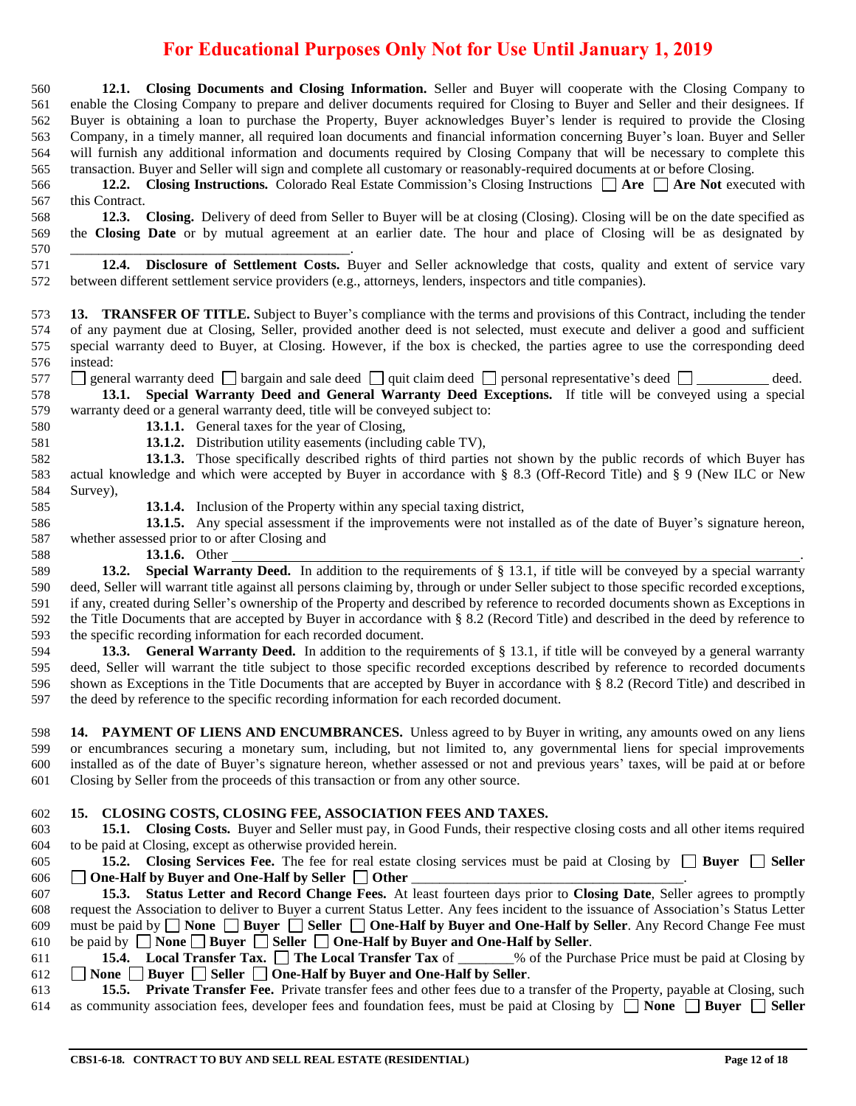**12.1. Closing Documents and Closing Information.** Seller and Buyer will cooperate with the Closing Company to enable the Closing Company to prepare and deliver documents required for Closing to Buyer and Seller and their designees. If Buyer is obtaining a loan to purchase the Property, Buyer acknowledges Buyer's lender is required to provide the Closing Company, in a timely manner, all required loan documents and financial information concerning Buyer's loan. Buyer and Seller will furnish any additional information and documents required by Closing Company that will be necessary to complete this transaction. Buyer and Seller will sign and complete all customary or reasonably-required documents at or before Closing.

 **12.2. Closing Instructions.** Colorado Real Estate Commission's Closing Instructions **Are Are Not** executed with this Contract.

 **12.3. Closing.** Delivery of deed from Seller to Buyer will be at closing (Closing). Closing will be on the date specified as the **Closing Date** or by mutual agreement at an earlier date. The hour and place of Closing will be as designated by \_\_\_\_\_\_\_\_\_\_\_\_\_\_\_\_\_\_\_\_\_\_\_\_\_\_\_\_\_\_\_\_\_\_\_\_\_\_\_\_.

 **12.4. Disclosure of Settlement Costs.** Buyer and Seller acknowledge that costs, quality and extent of service vary between different settlement service providers (e.g., attorneys, lenders, inspectors and title companies).

 **13. TRANSFER OF TITLE.** Subject to Buyer's compliance with the terms and provisions of this Contract, including the tender of any payment due at Closing, Seller, provided another deed is not selected, must execute and deliver a good and sufficient special warranty deed to Buyer, at Closing. However, if the box is checked, the parties agree to use the corresponding deed instead:

577 general warranty deed bargain and sale deed quit claim deed personal representative's deed  $\Box$  **13.1. Special Warranty Deed and General Warranty Deed Exceptions.** If title will be conveyed using a special warranty deed or a general warranty deed, title will be conveyed subject to:

- 
- **13.1.1.** General taxes for the year of Closing,
- **13.1.2.** Distribution utility easements (including cable TV),

 **13.1.3.** Those specifically described rights of third parties not shown by the public records of which Buyer has actual knowledge and which were accepted by Buyer in accordance with § 8.3 (Off-Record Title) and § 9 (New ILC or New Survey),

**13.1.4.** Inclusion of the Property within any special taxing district,

 **13.1.5.** Any special assessment if the improvements were not installed as of the date of Buyer's signature hereon, whether assessed prior to or after Closing and

**13.1.6.** Other .

 **13.2. Special Warranty Deed.** In addition to the requirements of § 13.1, if title will be conveyed by a special warranty deed, Seller will warrant title against all persons claiming by, through or under Seller subject to those specific recorded exceptions, if any, created during Seller's ownership of the Property and described by reference to recorded documents shown as Exceptions in the Title Documents that are accepted by Buyer in accordance with § 8.2 (Record Title) and described in the deed by reference to the specific recording information for each recorded document.

 **13.3. General Warranty Deed.** In addition to the requirements of § 13.1, if title will be conveyed by a general warranty deed, Seller will warrant the title subject to those specific recorded exceptions described by reference to recorded documents shown as Exceptions in the Title Documents that are accepted by Buyer in accordance with § 8.2 (Record Title) and described in the deed by reference to the specific recording information for each recorded document.

 **14. PAYMENT OF LIENS AND ENCUMBRANCES.** Unless agreed to by Buyer in writing, any amounts owed on any liens or encumbrances securing a monetary sum, including, but not limited to, any governmental liens for special improvements installed as of the date of Buyer's signature hereon, whether assessed or not and previous years' taxes, will be paid at or before Closing by Seller from the proceeds of this transaction or from any other source.

#### **15. CLOSING COSTS, CLOSING FEE, ASSOCIATION FEES AND TAXES.**

 **15.1. Closing Costs.** Buyer and Seller must pay, in Good Funds, their respective closing costs and all other items required to be paid at Closing, except as otherwise provided herein.

**15.2. Closing Services Fee.** The fee for real estate closing services must be paid at Closing by  $\Box$  **Buyer**  $\Box$  **Seller**  $\Box$  **One-Half by Buyer and One-Half by Seller**  $\Box$  Other

 **15.3. Status Letter and Record Change Fees.** At least fourteen days prior to **Closing Date**, Seller agrees to promptly request the Association to deliver to Buyer a current Status Letter. Any fees incident to the issuance of Association's Status Letter must be paid by **None Buyer Seller One-Half by Buyer and One-Half by Seller**. Any Record Change Fee must 610 be paid by  $\Box$  **None**  $\Box$  **Buyer**  $\Box$  **Seller**  $\Box$  **One-Half by Buyer and One-Half by Seller**.

 **15.4. Local Transfer Tax. The Local Transfer Tax** of \_\_\_\_\_\_\_\_% of the Purchase Price must be paid at Closing by **None Buyer Seller One-Half by Buyer and One-Half by Seller**.

 **15.5. Private Transfer Fee.** Private transfer fees and other fees due to a transfer of the Property, payable at Closing, such 614 as community association fees, developer fees and foundation fees, must be paid at Closing by  $\Box$  **None**  $\Box$  **Buyer**  $\Box$  **Seller**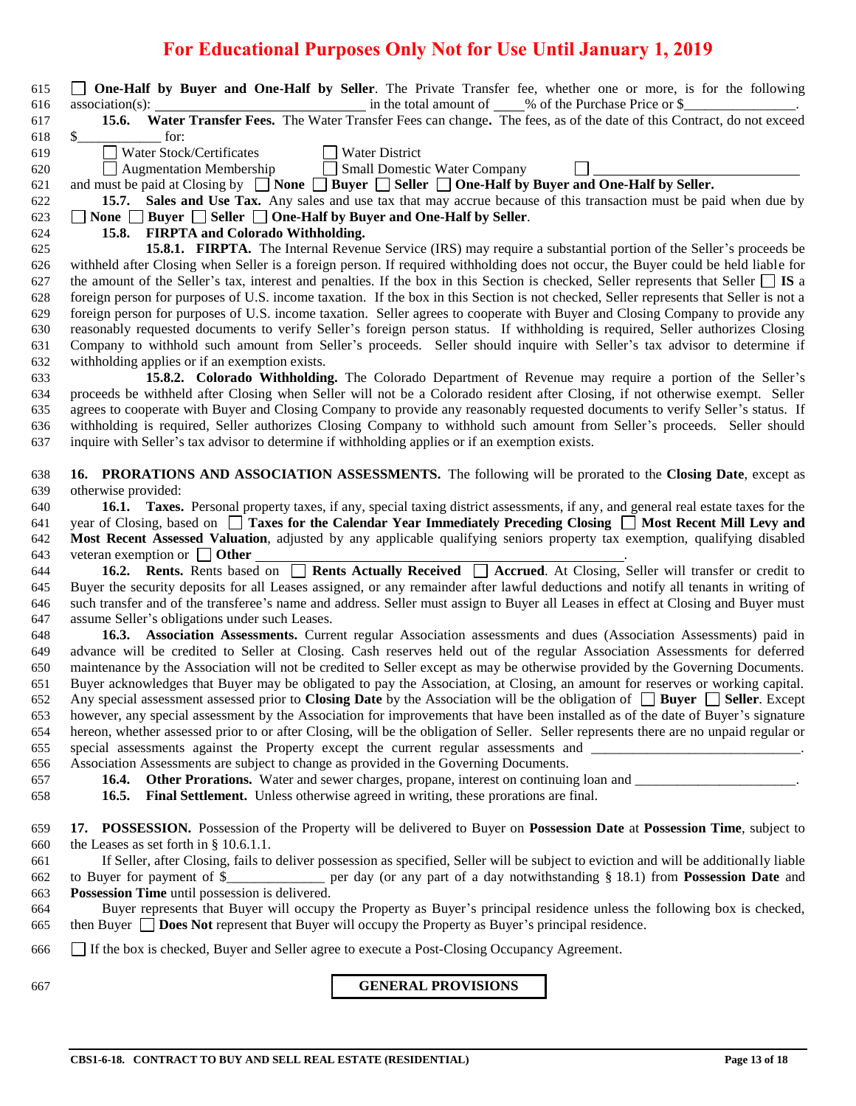| 615<br>616 | One-Half by Buyer and One-Half by Seller. The Private Transfer fee, whether one or more, is for the following<br>in the total amount of ____% of the Purchase Price or \$____<br>$\text{association(s)}$ :                                                                         |
|------------|------------------------------------------------------------------------------------------------------------------------------------------------------------------------------------------------------------------------------------------------------------------------------------|
| 617        | 15.6. Water Transfer Fees. The Water Transfer Fees can change. The fees, as of the date of this Contract, do not exceed                                                                                                                                                            |
| 618        | $S_{-}$<br>for:                                                                                                                                                                                                                                                                    |
| 619<br>620 | Water Stock/Certificates<br>$\Box$ Water District                                                                                                                                                                                                                                  |
|            | Augmentation Membership Small Domestic Water Company                                                                                                                                                                                                                               |
|            | and must be paid at Closing by $\Box$ None $\Box$ Buyer $\Box$ Seller $\Box$ One-Half by Buyer and One-Half by Seller.                                                                                                                                                             |
|            | Sales and Use Tax. Any sales and use tax that may accrue because of this transaction must be paid when due by<br>15.7.                                                                                                                                                             |
|            | None $\Box$ Buyer $\Box$ Seller $\Box$ One-Half by Buyer and One-Half by Seller.                                                                                                                                                                                                   |
|            | 15.8. FIRPTA and Colorado Withholding.                                                                                                                                                                                                                                             |
|            | <b>15.8.1. FIRPTA.</b> The Internal Revenue Service (IRS) may require a substantial portion of the Seller's proceeds be<br>withheld after Closing when Seller is a foreign person. If required withholding does not occur, the Buyer could be held liable for                      |
|            | the amount of the Seller's tax, interest and penalties. If the box in this Section is checked, Seller represents that Seller $\Box$ IS a<br>foreign person for purposes of U.S. income taxation. If the box in this Section is not checked, Seller represents that Seller is not a |
|            | foreign person for purposes of U.S. income taxation. Seller agrees to cooperate with Buyer and Closing Company to provide any                                                                                                                                                      |
|            | reasonably requested documents to verify Seller's foreign person status. If withholding is required, Seller authorizes Closing                                                                                                                                                     |
|            | Company to withhold such amount from Seller's proceeds. Seller should inquire with Seller's tax advisor to determine if                                                                                                                                                            |
|            | withholding applies or if an exemption exists.                                                                                                                                                                                                                                     |
|            | 15.8.2. Colorado Withholding. The Colorado Department of Revenue may require a portion of the Seller's                                                                                                                                                                             |
|            | proceeds be withheld after Closing when Seller will not be a Colorado resident after Closing, if not otherwise exempt. Seller                                                                                                                                                      |
|            | agrees to cooperate with Buyer and Closing Company to provide any reasonably requested documents to verify Seller's status. If                                                                                                                                                     |
|            | withholding is required, Seller authorizes Closing Company to withhold such amount from Seller's proceeds. Seller should                                                                                                                                                           |
|            | inquire with Seller's tax advisor to determine if withholding applies or if an exemption exists.                                                                                                                                                                                   |
|            | 16. PRORATIONS AND ASSOCIATION ASSESSMENTS. The following will be prorated to the Closing Date, except as                                                                                                                                                                          |
|            | otherwise provided:                                                                                                                                                                                                                                                                |
|            | <b>16.1.</b> Taxes. Personal property taxes, if any, special taxing district assessments, if any, and general real estate taxes for the                                                                                                                                            |
|            | year of Closing, based on □ Taxes for the Calendar Year Immediately Preceding Closing □ Most Recent Mill Levy and                                                                                                                                                                  |
|            | Most Recent Assessed Valuation, adjusted by any applicable qualifying seniors property tax exemption, qualifying disabled                                                                                                                                                          |
|            | veteran exemption or $\Box$ Other                                                                                                                                                                                                                                                  |
|            | 16.2. Rents. Rents based on Rents Actually Received Accrued. At Closing, Seller will transfer or credit to                                                                                                                                                                         |
|            | Buyer the security deposits for all Leases assigned, or any remainder after lawful deductions and notify all tenants in writing of                                                                                                                                                 |
|            | such transfer and of the transferee's name and address. Seller must assign to Buyer all Leases in effect at Closing and Buyer must                                                                                                                                                 |
|            | assume Seller's obligations under such Leases.                                                                                                                                                                                                                                     |
|            | 16.3. Association Assessments. Current regular Association assessments and dues (Association Assessments) paid in                                                                                                                                                                  |
|            | advance will be credited to Seller at Closing. Cash reserves held out of the regular Association Assessments for deferred                                                                                                                                                          |
|            | maintenance by the Association will not be credited to Seller except as may be otherwise provided by the Governing Documents.                                                                                                                                                      |
|            | Buyer acknowledges that Buyer may be obligated to pay the Association, at Closing, an amount for reserves or working capital.                                                                                                                                                      |
|            | Any special assessment assessed prior to Closing Date by the Association will be the obligation of $\Box$ Buyer $\Box$ Seller. Except                                                                                                                                              |
|            | however, any special assessment by the Association for improvements that have been installed as of the date of Buyer's signature                                                                                                                                                   |
|            | hereon, whether assessed prior to or after Closing, will be the obligation of Seller. Seller represents there are no unpaid regular or                                                                                                                                             |
|            |                                                                                                                                                                                                                                                                                    |
|            | Association Assessments are subject to change as provided in the Governing Documents.                                                                                                                                                                                              |
|            | <b>16.4.</b> Other Prorations. Water and sewer charges, propane, interest on continuing loan and ___________________.                                                                                                                                                              |
|            | Final Settlement. Unless otherwise agreed in writing, these prorations are final.<br>16.5.                                                                                                                                                                                         |
|            | 17. POSSESSION. Possession of the Property will be delivered to Buyer on Possession Date at Possession Time, subject to                                                                                                                                                            |
|            | the Leases as set forth in $\S$ 10.6.1.1.                                                                                                                                                                                                                                          |
|            | If Seller, after Closing, fails to deliver possession as specified, Seller will be subject to eviction and will be additionally liable                                                                                                                                             |
|            | to Buyer for payment of \$_______________ per day (or any part of a day notwithstanding § 18.1) from Possession Date and                                                                                                                                                           |
|            | Possession Time until possession is delivered.                                                                                                                                                                                                                                     |
|            | Buyer represents that Buyer will occupy the Property as Buyer's principal residence unless the following box is checked,                                                                                                                                                           |
|            | then Buyer $\Box$ Does Not represent that Buyer will occupy the Property as Buyer's principal residence.                                                                                                                                                                           |
|            | If the box is checked, Buyer and Seller agree to execute a Post-Closing Occupancy Agreement.                                                                                                                                                                                       |
|            |                                                                                                                                                                                                                                                                                    |
|            | <b>GENERAL PROVISIONS</b>                                                                                                                                                                                                                                                          |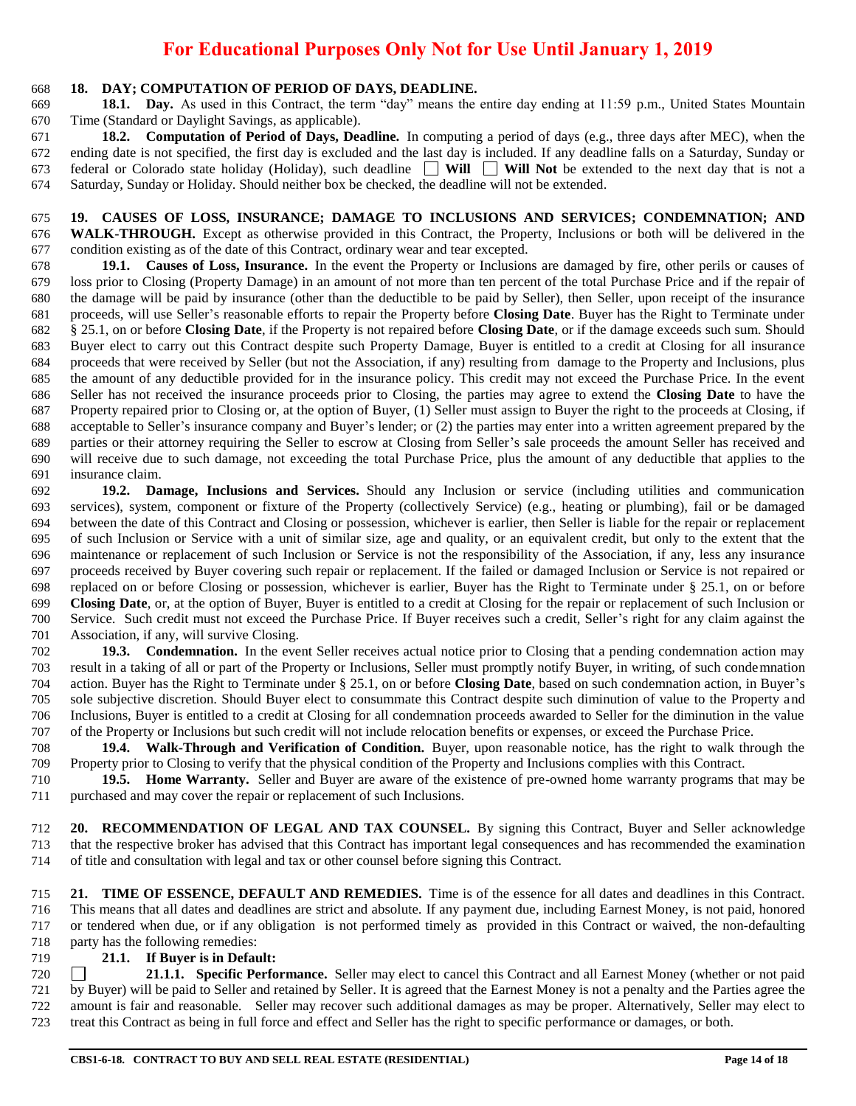#### **18. DAY; COMPUTATION OF PERIOD OF DAYS, DEADLINE.**

 **18.1. Day.** As used in this Contract, the term "day" means the entire day ending at 11:59 p.m., United States Mountain Time (Standard or Daylight Savings, as applicable).

 **18.2. Computation of Period of Days, Deadline.** In computing a period of days (e.g., three days after MEC), when the ending date is not specified, the first day is excluded and the last day is included. If any deadline falls on a Saturday, Sunday or 673 federal or Colorado state holiday (Holiday), such deadline  $\Box$  Will  $\Box$  Will Not be extended to the next day that is not a Saturday, Sunday or Holiday. Should neither box be checked, the deadline will not be extended.

 **19. CAUSES OF LOSS, INSURANCE; DAMAGE TO INCLUSIONS AND SERVICES; CONDEMNATION; AND WALK-THROUGH.** Except as otherwise provided in this Contract, the Property, Inclusions or both will be delivered in the condition existing as of the date of this Contract, ordinary wear and tear excepted.

 **19.1. Causes of Loss, Insurance.** In the event the Property or Inclusions are damaged by fire, other perils or causes of loss prior to Closing (Property Damage) in an amount of not more than ten percent of the total Purchase Price and if the repair of the damage will be paid by insurance (other than the deductible to be paid by Seller), then Seller, upon receipt of the insurance proceeds, will use Seller's reasonable efforts to repair the Property before **Closing Date**. Buyer has the Right to Terminate under § 25.1, on or before **Closing Date**, if the Property is not repaired before **Closing Date**, or if the damage exceeds such sum. Should Buyer elect to carry out this Contract despite such Property Damage, Buyer is entitled to a credit at Closing for all insurance proceeds that were received by Seller (but not the Association, if any) resulting from damage to the Property and Inclusions, plus the amount of any deductible provided for in the insurance policy. This credit may not exceed the Purchase Price. In the event Seller has not received the insurance proceeds prior to Closing, the parties may agree to extend the **Closing Date** to have the Property repaired prior to Closing or, at the option of Buyer, (1) Seller must assign to Buyer the right to the proceeds at Closing, if acceptable to Seller's insurance company and Buyer's lender; or (2) the parties may enter into a written agreement prepared by the parties or their attorney requiring the Seller to escrow at Closing from Seller's sale proceeds the amount Seller has received and will receive due to such damage, not exceeding the total Purchase Price, plus the amount of any deductible that applies to the insurance claim.

 **19.2. Damage, Inclusions and Services.** Should any Inclusion or service (including utilities and communication services), system, component or fixture of the Property (collectively Service) (e.g., heating or plumbing), fail or be damaged between the date of this Contract and Closing or possession, whichever is earlier, then Seller is liable for the repair or replacement of such Inclusion or Service with a unit of similar size, age and quality, or an equivalent credit, but only to the extent that the maintenance or replacement of such Inclusion or Service is not the responsibility of the Association, if any, less any insurance proceeds received by Buyer covering such repair or replacement. If the failed or damaged Inclusion or Service is not repaired or replaced on or before Closing or possession, whichever is earlier, Buyer has the Right to Terminate under § 25.1, on or before **Closing Date**, or, at the option of Buyer, Buyer is entitled to a credit at Closing for the repair or replacement of such Inclusion or Service. Such credit must not exceed the Purchase Price. If Buyer receives such a credit, Seller's right for any claim against the Association, if any, will survive Closing.

 **19.3. Condemnation.** In the event Seller receives actual notice prior to Closing that a pending condemnation action may result in a taking of all or part of the Property or Inclusions, Seller must promptly notify Buyer, in writing, of such condemnation action. Buyer has the Right to Terminate under § 25.1, on or before **Closing Date**, based on such condemnation action, in Buyer's sole subjective discretion. Should Buyer elect to consummate this Contract despite such diminution of value to the Property and Inclusions, Buyer is entitled to a credit at Closing for all condemnation proceeds awarded to Seller for the diminution in the value of the Property or Inclusions but such credit will not include relocation benefits or expenses, or exceed the Purchase Price.

 **19.4. Walk-Through and Verification of Condition.** Buyer, upon reasonable notice, has the right to walk through the Property prior to Closing to verify that the physical condition of the Property and Inclusions complies with this Contract.

 **19.5. Home Warranty.** Seller and Buyer are aware of the existence of pre-owned home warranty programs that may be purchased and may cover the repair or replacement of such Inclusions.

 **20. RECOMMENDATION OF LEGAL AND TAX COUNSEL.** By signing this Contract, Buyer and Seller acknowledge that the respective broker has advised that this Contract has important legal consequences and has recommended the examination of title and consultation with legal and tax or other counsel before signing this Contract.

 **21. TIME OF ESSENCE, DEFAULT AND REMEDIES.** Time is of the essence for all dates and deadlines in this Contract. This means that all dates and deadlines are strict and absolute. If any payment due, including Earnest Money, is not paid, honored or tendered when due, or if any obligation is not performed timely as provided in this Contract or waived, the non-defaulting 718 party has the following remedies:

### **21.1. If Buyer is in Default:**

 **21.1.1. Specific Performance.** Seller may elect to cancel this Contract and all Earnest Money (whether or not paid by Buyer) will be paid to Seller and retained by Seller. It is agreed that the Earnest Money is not a penalty and the Parties agree the amount is fair and reasonable. Seller may recover such additional damages as may be proper. Alternatively, Seller may elect to treat this Contract as being in full force and effect and Seller has the right to specific performance or damages, or both.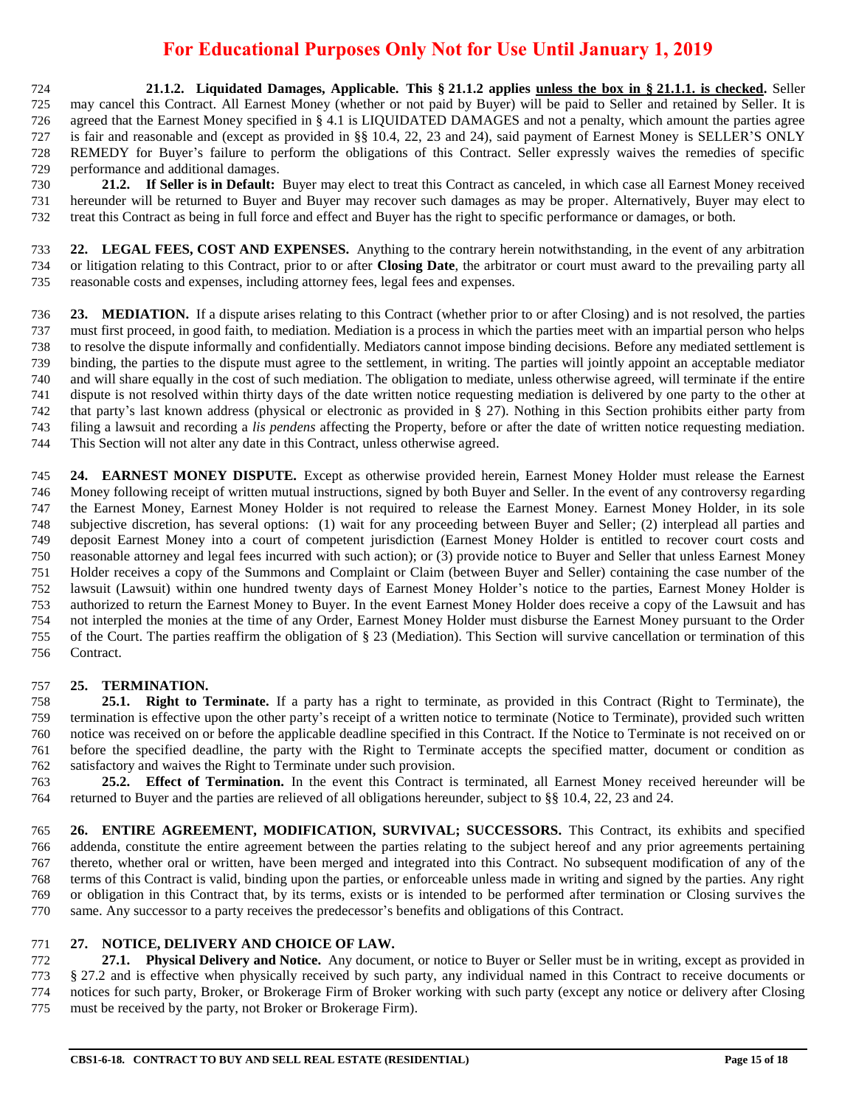**21.1.2. Liquidated Damages, Applicable. This § 21.1.2 applies unless the box in § 21.1.1. is checked.** Seller may cancel this Contract. All Earnest Money (whether or not paid by Buyer) will be paid to Seller and retained by Seller. It is agreed that the Earnest Money specified in § 4.1 is LIQUIDATED DAMAGES and not a penalty, which amount the parties agree is fair and reasonable and (except as provided in §§ 10.4, 22, 23 and 24), said payment of Earnest Money is SELLER'S ONLY REMEDY for Buyer's failure to perform the obligations of this Contract. Seller expressly waives the remedies of specific performance and additional damages.

 **21.2. If Seller is in Default:** Buyer may elect to treat this Contract as canceled, in which case all Earnest Money received hereunder will be returned to Buyer and Buyer may recover such damages as may be proper. Alternatively, Buyer may elect to treat this Contract as being in full force and effect and Buyer has the right to specific performance or damages, or both.

 **22. LEGAL FEES, COST AND EXPENSES.** Anything to the contrary herein notwithstanding, in the event of any arbitration or litigation relating to this Contract, prior to or after **Closing Date**, the arbitrator or court must award to the prevailing party all reasonable costs and expenses, including attorney fees, legal fees and expenses.

 **23. MEDIATION.** If a dispute arises relating to this Contract (whether prior to or after Closing) and is not resolved, the parties must first proceed, in good faith, to mediation. Mediation is a process in which the parties meet with an impartial person who helps to resolve the dispute informally and confidentially. Mediators cannot impose binding decisions. Before any mediated settlement is binding, the parties to the dispute must agree to the settlement, in writing. The parties will jointly appoint an acceptable mediator and will share equally in the cost of such mediation. The obligation to mediate, unless otherwise agreed, will terminate if the entire dispute is not resolved within thirty days of the date written notice requesting mediation is delivered by one party to the other at that party's last known address (physical or electronic as provided in § 27). Nothing in this Section prohibits either party from filing a lawsuit and recording a *lis pendens* affecting the Property, before or after the date of written notice requesting mediation. This Section will not alter any date in this Contract, unless otherwise agreed.

 **24. EARNEST MONEY DISPUTE.** Except as otherwise provided herein, Earnest Money Holder must release the Earnest Money following receipt of written mutual instructions, signed by both Buyer and Seller. In the event of any controversy regarding the Earnest Money, Earnest Money Holder is not required to release the Earnest Money. Earnest Money Holder, in its sole subjective discretion, has several options: (1) wait for any proceeding between Buyer and Seller; (2) interplead all parties and deposit Earnest Money into a court of competent jurisdiction (Earnest Money Holder is entitled to recover court costs and reasonable attorney and legal fees incurred with such action); or (3) provide notice to Buyer and Seller that unless Earnest Money Holder receives a copy of the Summons and Complaint or Claim (between Buyer and Seller) containing the case number of the lawsuit (Lawsuit) within one hundred twenty days of Earnest Money Holder's notice to the parties, Earnest Money Holder is authorized to return the Earnest Money to Buyer. In the event Earnest Money Holder does receive a copy of the Lawsuit and has not interpled the monies at the time of any Order, Earnest Money Holder must disburse the Earnest Money pursuant to the Order of the Court. The parties reaffirm the obligation of § 23 (Mediation). This Section will survive cancellation or termination of this Contract.

### **25. TERMINATION.**

 **25.1. Right to Terminate.** If a party has a right to terminate, as provided in this Contract (Right to Terminate), the termination is effective upon the other party's receipt of a written notice to terminate (Notice to Terminate), provided such written notice was received on or before the applicable deadline specified in this Contract. If the Notice to Terminate is not received on or before the specified deadline, the party with the Right to Terminate accepts the specified matter, document or condition as satisfactory and waives the Right to Terminate under such provision.

 **25.2. Effect of Termination.** In the event this Contract is terminated, all Earnest Money received hereunder will be returned to Buyer and the parties are relieved of all obligations hereunder, subject to §§ 10.4, 22, 23 and 24.

 **26. ENTIRE AGREEMENT, MODIFICATION, SURVIVAL; SUCCESSORS.** This Contract, its exhibits and specified addenda, constitute the entire agreement between the parties relating to the subject hereof and any prior agreements pertaining thereto, whether oral or written, have been merged and integrated into this Contract. No subsequent modification of any of the terms of this Contract is valid, binding upon the parties, or enforceable unless made in writing and signed by the parties. Any right or obligation in this Contract that, by its terms, exists or is intended to be performed after termination or Closing survives the same. Any successor to a party receives the predecessor's benefits and obligations of this Contract.

### **27. NOTICE, DELIVERY AND CHOICE OF LAW.**

 **27.1. Physical Delivery and Notice.** Any document, or notice to Buyer or Seller must be in writing, except as provided in § 27.2 and is effective when physically received by such party, any individual named in this Contract to receive documents or notices for such party, Broker, or Brokerage Firm of Broker working with such party (except any notice or delivery after Closing must be received by the party, not Broker or Brokerage Firm).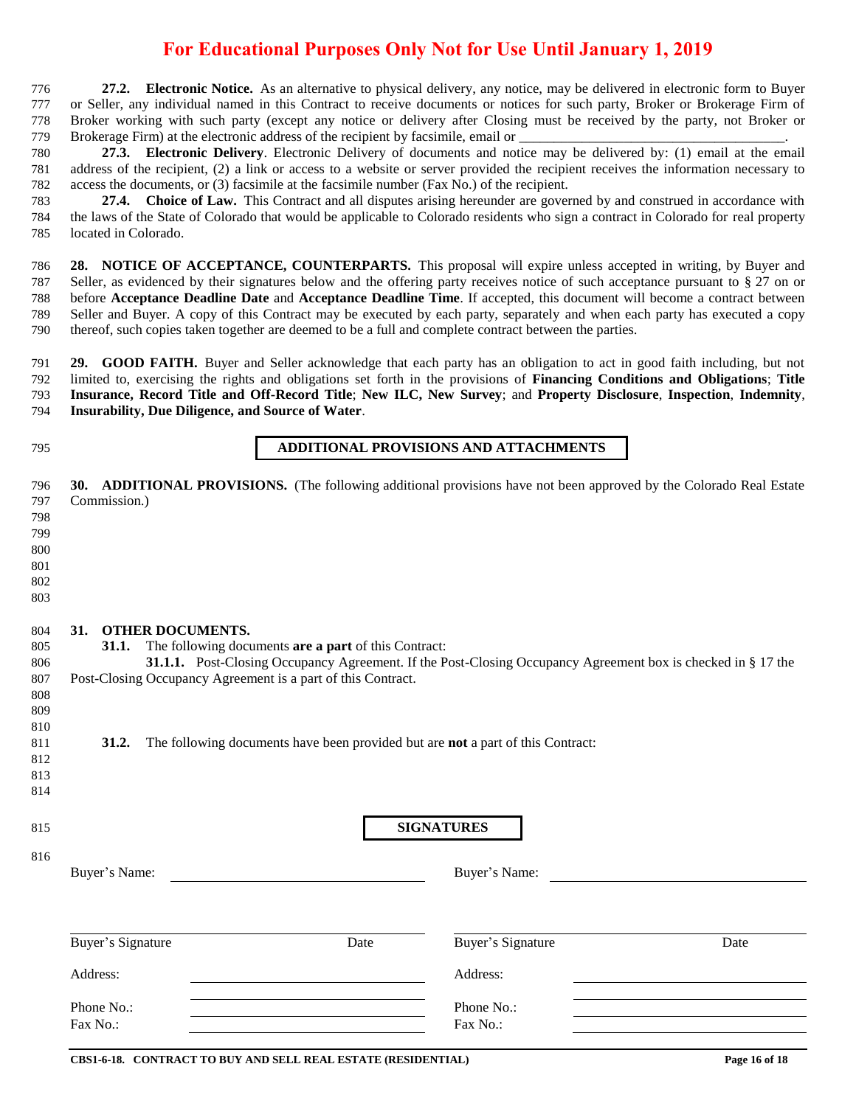**27.2. Electronic Notice.** As an alternative to physical delivery, any notice, may be delivered in electronic form to Buyer or Seller, any individual named in this Contract to receive documents or notices for such party, Broker or Brokerage Firm of Broker working with such party (except any notice or delivery after Closing must be received by the party, not Broker or 779 Brokerage Firm) at the electronic address of the recipient by facsimile, email or

 **27.3. Electronic Delivery**. Electronic Delivery of documents and notice may be delivered by: (1) email at the email address of the recipient, (2) a link or access to a website or server provided the recipient receives the information necessary to access the documents, or (3) facsimile at the facsimile number (Fax No.) of the recipient.

 **27.4. Choice of Law.** This Contract and all disputes arising hereunder are governed by and construed in accordance with the laws of the State of Colorado that would be applicable to Colorado residents who sign a contract in Colorado for real property located in Colorado.

 **28. NOTICE OF ACCEPTANCE, COUNTERPARTS.** This proposal will expire unless accepted in writing, by Buyer and Seller, as evidenced by their signatures below and the offering party receives notice of such acceptance pursuant to § 27 on or before **Acceptance Deadline Date** and **Acceptance Deadline Time**. If accepted, this document will become a contract between Seller and Buyer. A copy of this Contract may be executed by each party, separately and when each party has executed a copy thereof, such copies taken together are deemed to be a full and complete contract between the parties.

 **29. GOOD FAITH.** Buyer and Seller acknowledge that each party has an obligation to act in good faith including, but not limited to, exercising the rights and obligations set forth in the provisions of **Financing Conditions and Obligations**; **Title Insurance, Record Title and Off-Record Title**; **New ILC, New Survey**; and **Property Disclosure**, **Inspection**, **Indemnity**, **Insurability, Due Diligence, and Source of Water**.

#### **ADDITIONAL PROVISIONS AND ATTACHMENTS**

|     |                 | 796 30. ADDITIONAL PROVISIONS. (The following additional provisions have not been approved by the Colorado Real Estate |
|-----|-----------------|------------------------------------------------------------------------------------------------------------------------|
|     | 797 Commission. |                                                                                                                        |
| 798 |                 |                                                                                                                        |

- 
- 
- 

 

 

#### **31. OTHER DOCUMENTS.**

**31.1.** The following documents **are a part** of this Contract:

 **31.1.1.** Post-Closing Occupancy Agreement. If the Post-Closing Occupancy Agreement box is checked in § 17 the Post-Closing Occupancy Agreement is a part of this Contract.

| 811 | 31.2. The following documents have been provided but are not a part of this Contract: |
|-----|---------------------------------------------------------------------------------------|
|     |                                                                                       |

| 815 |  |
|-----|--|
| 816 |  |

#### **SIGNATURES**

| Buyer's Name:          |      | Buyer's Name:          |      |
|------------------------|------|------------------------|------|
| Buyer's Signature      | Date | Buyer's Signature      | Date |
| Address:               |      | Address:               |      |
| Phone No.:<br>Fax No.: |      | Phone No.:<br>Fax No.: |      |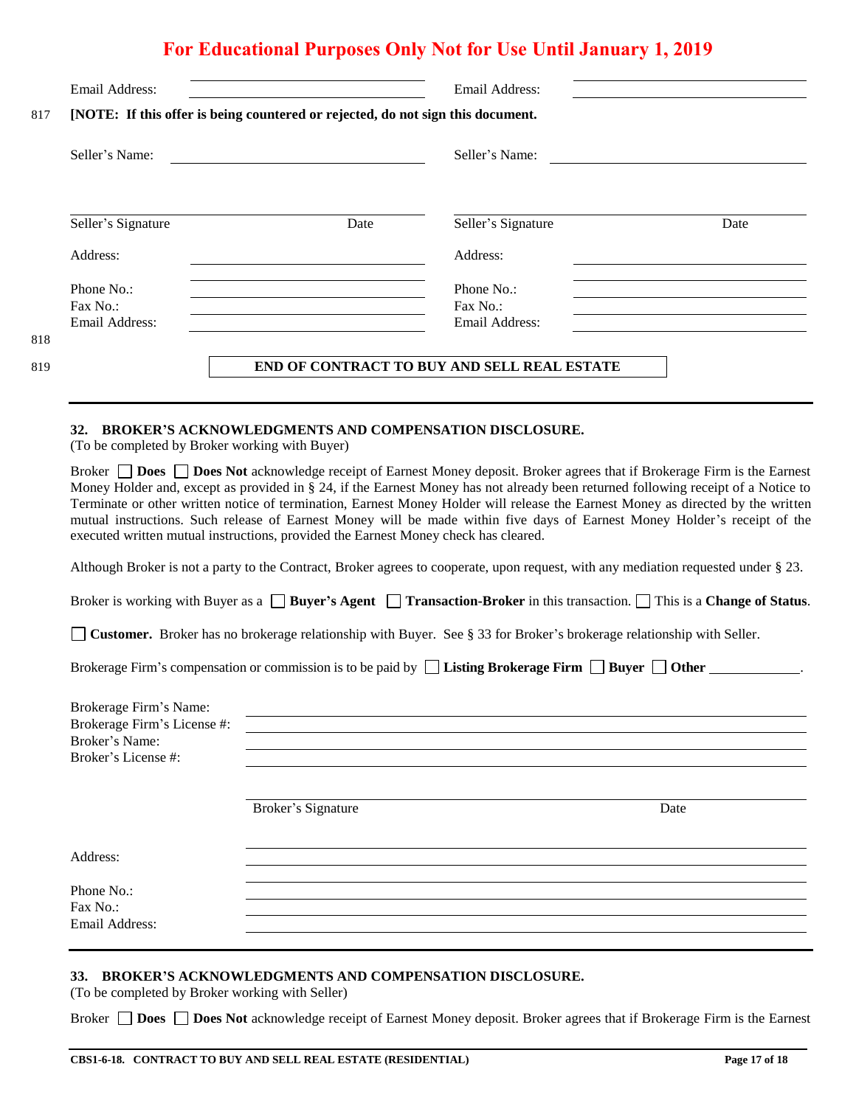| Email Address:                                        |                                                                                     | Email Address:                                                                                                                                                                                                                                                                                                                                                                                                                                                                                                                   |                                                                                           |
|-------------------------------------------------------|-------------------------------------------------------------------------------------|----------------------------------------------------------------------------------------------------------------------------------------------------------------------------------------------------------------------------------------------------------------------------------------------------------------------------------------------------------------------------------------------------------------------------------------------------------------------------------------------------------------------------------|-------------------------------------------------------------------------------------------|
|                                                       | [NOTE: If this offer is being countered or rejected, do not sign this document.     |                                                                                                                                                                                                                                                                                                                                                                                                                                                                                                                                  |                                                                                           |
| Seller's Name:                                        |                                                                                     | Seller's Name:                                                                                                                                                                                                                                                                                                                                                                                                                                                                                                                   |                                                                                           |
| Seller's Signature                                    | Date                                                                                | Seller's Signature                                                                                                                                                                                                                                                                                                                                                                                                                                                                                                               | Date                                                                                      |
| Address:                                              |                                                                                     | Address:                                                                                                                                                                                                                                                                                                                                                                                                                                                                                                                         |                                                                                           |
| Phone No.:<br>Fax No.:<br>Email Address:              |                                                                                     | Phone No.:<br>Fax No.:<br>Email Address:                                                                                                                                                                                                                                                                                                                                                                                                                                                                                         | the control of the control of the control of the control of the control of the control of |
|                                                       |                                                                                     | END OF CONTRACT TO BUY AND SELL REAL ESTATE                                                                                                                                                                                                                                                                                                                                                                                                                                                                                      |                                                                                           |
|                                                       |                                                                                     |                                                                                                                                                                                                                                                                                                                                                                                                                                                                                                                                  |                                                                                           |
| (To be completed by Broker working with Buyer)        | executed written mutual instructions, provided the Earnest Money check has cleared. | Broker □ Does □ Does Not acknowledge receipt of Earnest Money deposit. Broker agrees that if Brokerage Firm is the Earnest<br>Money Holder and, except as provided in § 24, if the Earnest Money has not already been returned following receipt of a Notice to<br>Terminate or other written notice of termination, Earnest Money Holder will release the Earnest Money as directed by the written<br>mutual instructions. Such release of Earnest Money will be made within five days of Earnest Money Holder's receipt of the |                                                                                           |
|                                                       |                                                                                     | Although Broker is not a party to the Contract, Broker agrees to cooperate, upon request, with any mediation requested under § 23.<br>Broker is working with Buyer as a $\Box$ Buyer's Agent $\Box$ Transaction-Broker in this transaction. $\Box$ This is a Change of Status.<br>Customer. Broker has no brokerage relationship with Buyer. See § 33 for Broker's brokerage relationship with Seller.<br>Brokerage Firm's compensation or commission is to be paid by $\Box$ Listing Brokerage Firm $\Box$ Buyer $\Box$ Other   |                                                                                           |
| Brokerage Firm's Name:<br>Brokerage Firm's License #: |                                                                                     |                                                                                                                                                                                                                                                                                                                                                                                                                                                                                                                                  |                                                                                           |
| Broker's Name:<br>Broker's License #:                 |                                                                                     |                                                                                                                                                                                                                                                                                                                                                                                                                                                                                                                                  |                                                                                           |
|                                                       | Broker's Signature                                                                  |                                                                                                                                                                                                                                                                                                                                                                                                                                                                                                                                  | Date                                                                                      |
| Address:                                              |                                                                                     |                                                                                                                                                                                                                                                                                                                                                                                                                                                                                                                                  |                                                                                           |
| Phone No.:<br>Fax No.:                                |                                                                                     |                                                                                                                                                                                                                                                                                                                                                                                                                                                                                                                                  |                                                                                           |

### **33. BROKER'S ACKNOWLEDGMENTS AND COMPENSATION DISCLOSURE.**

(To be completed by Broker working with Seller)

Broker **Does Does Not** acknowledge receipt of Earnest Money deposit. Broker agrees that if Brokerage Firm is the Earnest